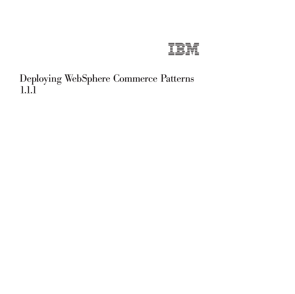

# Deploying WebSphere Commerce Patterns 1.1.1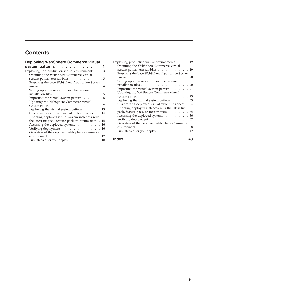# **Contents**

| Deploying WebSphere Commerce virtual                                                                                                                                                                                                                   |
|--------------------------------------------------------------------------------------------------------------------------------------------------------------------------------------------------------------------------------------------------------|
| system patterns                                                                                                                                                                                                                                        |
| Deploying non-production virtual environments.<br>. 3                                                                                                                                                                                                  |
| Obtaining the WebSphere Commerce virtual                                                                                                                                                                                                               |
| system pattern eAssemblies<br>. 3                                                                                                                                                                                                                      |
| Preparing the base WebSphere Application Server                                                                                                                                                                                                        |
| image.<br>$4 \cdot$<br>$\sim$ 100 $\sim$<br>$\sim$                                                                                                                                                                                                     |
| Setting up a file server to host the required                                                                                                                                                                                                          |
| installation files<br>. 5                                                                                                                                                                                                                              |
| Importing the virtual system pattern<br>. 6                                                                                                                                                                                                            |
| Updating the WebSphere Commerce virtual                                                                                                                                                                                                                |
| system pattern.<br>. 7                                                                                                                                                                                                                                 |
| Deploying the virtual system pattern 13                                                                                                                                                                                                                |
| Customizing deployed virtual system instances<br>14                                                                                                                                                                                                    |
| Updating deployed virtual system instances with                                                                                                                                                                                                        |
| the latest fix pack, feature pack or interim fixes<br>. 15                                                                                                                                                                                             |
| Accessing the deployed system<br>. 16                                                                                                                                                                                                                  |
| Verifying deployment<br>. 16                                                                                                                                                                                                                           |
| Overview of the deployed WebSphere Commerce                                                                                                                                                                                                            |
| environment.<br>. 17<br>and the contract of the contract of the contract of the contract of the contract of the contract of the contract of the contract of the contract of the contract of the contract of the contract of the contract of the contra |
| First steps after you deploy.<br>18<br>$\sim 10^{-1}$ km $^{-1}$ km $^{-1}$<br>$\ddot{\phantom{0}}$<br>$\sim$                                                                                                                                          |
|                                                                                                                                                                                                                                                        |

| Deploying production virtual environments       | . 19 |
|-------------------------------------------------|------|
| Obtaining the WebSphere Commerce virtual        |      |
| system pattern eAssemblies 19                   |      |
| Preparing the base WebSphere Application Server |      |
| image                                           | . 20 |
| Setting up a file server to host the required   |      |
| installation files<br><b>Carl Control</b>       | . 20 |
| Importing the virtual system pattern            | . 21 |
| Updating the WebSphere Commerce virtual         |      |
| system pattern                                  | . 23 |
| Deploying the virtual system pattern            | . 33 |
| Customizing deployed virtual system instances   | 34   |
| Updating deployed instances with the latest fix |      |
| pack, feature pack, or interim fixes            | . 35 |
| Accessing the deployed system                   | . 36 |
| Verifying deployment                            | . 37 |
| Overview of the deployed WebSphere Commerce     |      |
| environment                                     | . 38 |
| First steps after you deploy                    | . 42 |
|                                                 |      |
| Index                                           |      |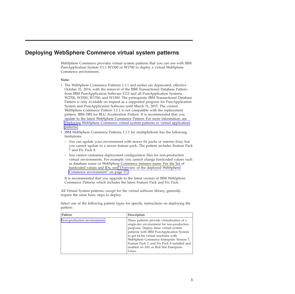## <span id="page-4-0"></span>**Deploying WebSphere Commerce virtual system patterns**

WebSphere Commerce provides virtual system patterns that you can use with IBM PureApplication System V1.1 W1500 or W1700 to deploy a virtual WebSphere Commerce environment.

#### **Note:**

- v The WebSphere Commerce Patterns 1.1.1 and earlier are deprecated, effective October 21, 2014, with the removal of the IBM Transactional Database Pattern from IBM PureApplication Software V2.0 and all PureApplication Systems W2700, W2500, W1700, and W1500. The prerequisite IBM Transactional Database Pattern is only available on request as a supported program for PureApplication System and PureApplication Software until March 31, 2015. The current WebSphere Commerce Pattern 1.1.1 is not compatible with the replacement pattern, IBM DB2 for BLU Acceleration Pattern. It is recommended that you update to the latest WebSphere Commerce Pattern. For more information, see [Deploying WebSphere Commerce virtual system patterns or virtual application](https://www-01.ibm.com/support/knowledgecenter/SSZLC2_7.0.0/com.ibm.commerce.install.doc/tasks/tig_vsp_IWD.htm) [patterns](https://www-01.ibm.com/support/knowledgecenter/SSZLC2_7.0.0/com.ibm.commerce.install.doc/tasks/tig_vsp_IWD.htm)
- IBM WebSphere Commerce Patterns 1.1.1 for multiplatform has the following limitations:
	- You can update your environment with newer fix packs or interim fixes, but you cannot update to a newer feature pack. The pattern includes Feature Pack 7 and Fix Pack 8.
	- You cannot customize deployment configuration files for non-production virtual environments. For example, you cannot change hardcoded values such as database name or WebSphere Commerce instance name. For the list of hardcoded values and IDs, see ["Overview of the deployed WebSphere](#page-20-0) [Commerce environment" on page 17.](#page-20-0)

It is recommended that you upgrade to the latest version of IBM WebSphere Commerce Patterns which includes the latest Feature Pack and Fix Pack.

All Virtual System patterns, except for the virtual software library, generally require the same basic steps to deploy.

Select one of the following pattern types for specific instructions on deploying the pattern:

| Pattern                     | Description                                                                                                                                                                                                                                                                                                                                                        |
|-----------------------------|--------------------------------------------------------------------------------------------------------------------------------------------------------------------------------------------------------------------------------------------------------------------------------------------------------------------------------------------------------------------|
| Non-production environments | These patterns provide virtualization of a<br>single-tier environment for non-production<br>purposes. Deploy these virtual system<br>patterns with IBM PureApplication System<br>to get 64-bit virtual machines with<br>WebSphere Commerce Enterprise Version 7,<br>Feature Pack 7, and Fix Pack 8 installed and<br>enabled on AIX or Red Hat Enterprise<br>Linux. |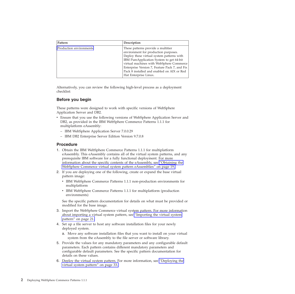| Pattern                 | Description                                                                                                                                                                                                                                                                                                                             |
|-------------------------|-----------------------------------------------------------------------------------------------------------------------------------------------------------------------------------------------------------------------------------------------------------------------------------------------------------------------------------------|
| Production environments | These patterns provide a multitier<br>environment for production purposes.<br>Deploy these virtual system patterns with<br>IBM PureApplication System to get 64-bit<br>virtual machines with WebSphere Commerce<br>Enterprise Version 7, Feature Pack 7, and Fix<br>Pack 8 installed and enabled on AIX or Red<br>Hat Enterprise Linux. |

Alternatively, you can review the following high-level process as a deployment checklist:

### **Before you begin**

These patterns were designed to work with specific versions of WebSphere Application Server and DB2.

- v Ensure that you use the following versions of WebSphere Application Server and DB2, as provided in the IBM WebSphere Commerce Patterns 1.1.1 for multiplatform eAssembly:
	- IBM WebSphere Application Server 7.0.0.29
	- IBM DB2 Enterprise Server Edition Version 9.7.0.8

### **Procedure**

- 1. Obtain the IBM WebSphere Commerce Patterns 1.1.1 for multiplatform eAssembly. This eAssembly contains all of the virtual system patterns, and any prerequisite IBM software for a fully functional deployment. For more information about the specific contents of the eAssembly, see ["Obtaining the](#page-22-0) [WebSphere Commerce virtual system pattern eAssemblies" on page 19.](#page-22-0)
- 2. If you are deploying one of the following, create or expand the base virtual pattern image:
	- v IBM WebSphere Commerce Patterns 1.1.1 non-production environments for multiplatform
	- IBM WebSphere Commerce Patterns 1.1.1 for multiplatform (production environments)

See the specific pattern documentation for details on what must be provided or modified for the base image.

- 3. Import the WebSphere Commerce virtual system pattern. For more information about importing a virtual system pattern, see ["Importing the virtual system](#page-24-0) [pattern" on page 21.](#page-24-0)
- 4. Set up a file server to host any software installation files for your newly deployed system.
	- a. Move any software installation files that you want to install on your virtual system from the eAssembly to the file server or software library.
- 5. Provide the values for any mandatory parameters and any configurable default parameters. Each pattern contains different mandatory parameters and configurable default parameters. See the specific pattern documentation for details on these values.
- 6. Deploy the virtual system pattern. For more information, see ["Deploying the](#page-36-0) [virtual system pattern" on page 33.](#page-36-0)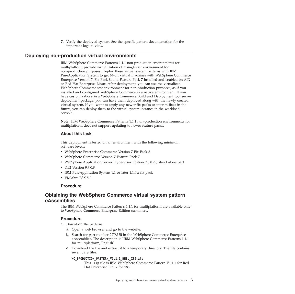7. Verify the deployed system. See the specific pattern documentation for the important logs to view.

### <span id="page-6-0"></span>**Deploying non-production virtual environments**

<span id="page-6-1"></span>IBM WebSphere Commerce Patterns 1.1.1 non-production environments for multiplatform provide virtualization of a single-tier environment for non-production purposes. Deploy these virtual system patterns with IBM PureApplication System to get 64-bit virtual machines with WebSphere Commerce Enterprise Version 7, Fix Pack 8, and Feature Pack 7 installed and enabled on AIX or Red Hat Enterprise Linux. After deployment, you can use the virtualized WebSphere Commerce test environment for non-production purposes, as if you installed and configured WebSphere Commerce in a native environment. If you have customizations in a WebSphere Commerce Build and Deployment tool server deployment package, you can have them deployed along with the newly created virtual system. If you want to apply any newer fix packs or interim fixes in the future, you can deploy them to the virtual system instance in the workload console.

**Note:** IBM WebSphere Commerce Patterns 1.1.1 non-production environments for multiplatform does not support updating to newer feature packs.

### **About this task**

This deployment is tested on an environment with the following minimum software levels:

- WebSphere Enterprise Commerce Version 7 Fix Pack 8
- WebSphere Commerce Version 7 Feature Pack 7
- v WebSphere Application Server Hypervisor Edition 7.0.0.29, stand alone part
- DB2 Version 9.7.0.8
- v IBM PureApplication System 1.1 or later 1.1.0.*x* fix pack
- VMWare ESX 5.0

### **Procedure**

### **Obtaining the WebSphere Commerce virtual system pattern eAssemblies**

The IBM WebSphere Commerce Patterns 1.1.1 for multiplatform are available only to WebSphere Commerce Enterprise Edition customers.

### **Procedure**

- 1. Download the patterns.
	- a. Open a web browser and go to the website:
	- b. Search for part number CIYA7EN in the WebSphere Commerce Enterprise eAssemblies. The description is "IBM WebSphere Commerce Patterns 1.1.1 for multiplatform, English"
	- c. Download the file and extract it to a temporary directory. The file contains seven .zip files:

#### WC\_PRODUCTION\_PATTERN\_V1.1.1\_RHEL\_X86.zip

This .zip file is IBM WebSphere Commerce Pattern V1.1.1 for Red Hat Enterprise Linux for x86.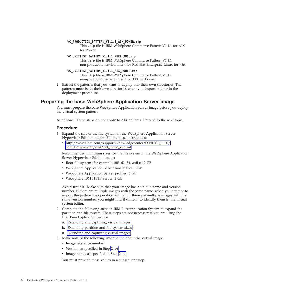#### <span id="page-7-0"></span>**WC\_PRODUCTION\_PATTERN\_V1.1.1\_AIX\_POWER.zip**

This .zip file is IBM WebSphere Commerce Pattern V1.1.1 for AIX for Power.

#### **WC\_UNITTEST\_PATTERN\_V1.1.1\_RHEL\_X86.zip**

This .zip file is IBM WebSphere Commerce Pattern V1.1.1 non-production environment for Red Hat Enterprise Linux for x86.

#### **WC\_UNITTEST\_PATTERN\_V1.1.1\_AIX\_POWER.zip**

<span id="page-7-1"></span>This .zip file is IBM WebSphere Commerce Pattern V1.1.1 non-production environment for AIX for Power.

2. Extract the patterns that you want to deploy into their own directories. The patterns must be in their own directories when you import it, later in the deployment procedure.

### **Preparing the base WebSphere Application Server image**

You must prepare the base WebSphere Application Server image before you deploy the virtual system pattern.

**Attention:** These steps do not apply to AIX patterns. Proceed to the next topic.

#### **Procedure**

- 1. Expand the size of the file system on the WebSphere Application Server Hypervisor Edition images. Follow these instructions:
	- v [http://www.ibm.com/support/knowledgecenter/SSNLXH\\_1.0.0/](http://www.ibm.com/support/knowledgecenter/SSNLXH_1.0.0/com.ibm.ipas.doc/iwd/pct_clone_vi.html) [com.ibm.ipas.doc/iwd/pct\\_clone\\_vi.html](http://www.ibm.com/support/knowledgecenter/SSNLXH_1.0.0/com.ibm.ipas.doc/iwd/pct_clone_vi.html)

Recommended minimum sizes for the file system in the WebSphere Application Server Hypervisor Edition image:

- Root file system (for example, RHEL62-64. vmdk): 12 GB
- WebSphere Application Server binary files: 8 GB
- WebSphere Application Server profiles: 6 GB
- WebSphere IBM HTTP Server: 2 GB

**Avoid trouble:** Make sure that your image has a unique name and version number. If there are multiple images with the same name, when you attempt to import the pattern the operation will fail. If there are multiple images with the same version number, you might find it difficult to identify them in the virtual system editor.

- 2. Complete the following steps in IBM PureApplication System to expand the partition and file system. These steps are not necessary if you are using the IBM PureApplication Service.
	- a. [Extending and capturing virtual images.](http://www.ibm.com/support/knowledgecenter/SSNLXH_1.0.0/com.ibm.ipas.doc/iwd/pct_extend_vi.html)
	- b. [Extending partition and file system sizes.](http://www.ibm.com/support/knowledgecenter/SSNLXH_1.0.0/com.ibm.ipas.doc/iwd/pct_extend_fs.html)
	- c. [Extending and capturing virtual images.](http://www.ibm.com/support/knowledgecenter/SSNLXH_1.0.0/com.ibm.ipas.doc/iwd/pct_extend_vi.html)
- 3. Make note of the following information about the virtual image.
	- Image reference number
	- Version, as specified in Step [2. b\)](#page-7-1)
	- Image name, as specified in Step [2. b\)](#page-7-1)

You must provide these values in a subsequent step.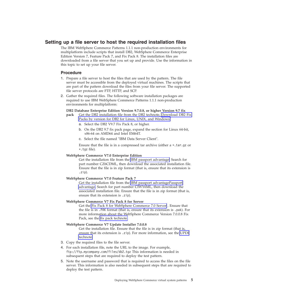### <span id="page-8-0"></span>**Setting up a file server to host the required installation files**

The IBM WebSphere Commerce Patterns 1.1.1 non-production environments for multiplatform include scripts that install DB2, WebSphere Commerce Enterprise Edition Version 7, Feature Pack 7, and Fix Pack 8. The installation files are downloaded from a file server that you set up and provide. Use the information in this topic to set up your file server.

### **Procedure**

- 1. Prepare a file server to host the files that are used by the pattern. The file server must be accessible from the deployed virtual machines. The scripts that are part of the pattern download the files from your file server. The supported file server protocols are FTP, HTTP, and SCP.
- 2. Gather the required files. The following software installation packages are required to use IBM WebSphere Commerce Patterns 1.1.1 non-production environments for multiplatform:

#### **DB2 Database Enterprise Edition Version 9.7.0.8, or higher Version 9.7 fix**

- **pack** Get the DB2 installation file from the DB2 technote, [Download DB2 Fix](http://www.ibm.com/support/docview.wss?uid=swg27007053) [Packs by version for DB2 for Linux, UNIX, and Windows](http://www.ibm.com/support/docview.wss?uid=swg27007053)
	- a. Select the DB2 V9.7 Fix Pack 8, or higher.
	- b. On the DB2 9.7 fix pack page, expand the section for Linux 64-bit, x86-64 on AMD64 and Intel EM64T.
	- c. Select the file named "IBM Data Server Client".

Ensure that the file is in a compressed tar archive (either a \*.tar.gz or \*.tgz file).

#### **WebSphere Commerce V7.0 Enterprise Edition**

Get the installation file from the [IBM passport advantage.](http://www.ibm.com/software/howtobuy/passportadvantage/) Search for part number CZ6CDML, then download the associated installation file. Ensure that the file is in zip format (that is, ensure that its extension is  $.$ zip $).$ 

#### **WebSphere Commerce V7.0 Feature Pack 7**

Get the installation file from the [IBM passport advantagePassport](http://www.ibm.com/software/howtobuy/passportadvantage/) [advantage.](http://www.ibm.com/software/howtobuy/passportadvantage/) Search for part number CIWY6ML, then download the associated installation file. Ensure that the file is in zip format (that is, ensure that its extension is .zip).

#### **WebSphere Commerce V7 Fix Pack 8 for Server**

Get the [Fix Pack 8 for WebSphere Commerce 7.0 Server](https://www.ibm.com/support/fixcentral/swg/selectFixes?parent=ibm%2FWebSphere&product=ibm/WebSphere/WebSphere+Commerce&release=All&platform=All&function=fixId&fixids=7.0.0-WS-WCServer-FP008&includeSupersedes=0) . Ensure that the file is in .PAK format (that is, ensure that its extension is .pak). For more information about the WebSphere Commerce Version 7.0.0.8 Fix Pack, see the [fix pack technote.](http://www.ibm.com/support/docview.wss?uid=swg24034686)

#### **WebSphere Commerce V7 Update Installer 7.0.0.8**

Get the installation file. Ensure that the file is in zip format (that is, ensure that its extension is .zip). For more information, see the [UPDI](http://www.ibm.com/support/docview.wss?uid=swg24013502) [technote.](http://www.ibm.com/support/docview.wss?uid=swg24013502)

- 3. Copy the required files to the file server.
- 4. For each installation file, note the URL to the image. For example, ftp://ftp.mycompany.com/files/db2.tgz This information is needed in subsequent steps that are required to deploy the test pattern.
- 5. Note the username and password that is required to access the files on the file server. This information is also needed in subsequent steps that are required to deploy the test pattern.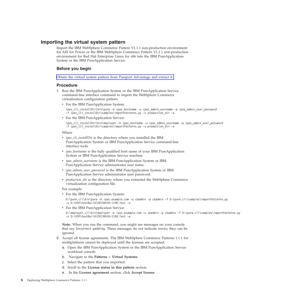### <span id="page-9-0"></span>**Importing the virtual system pattern**

Import the IBM WebSphere Commerce Pattern V1.1.1 non-production environment for AIX for Power or the IBM WebSphere Commerce Pattern V1.1.1 non-production environment for Red Hat Enterprise Linux for x86 into the IBM PureApplication System or the IBM PureApplication Service.

### **Before you begin**

[Obtain the virtual system pattern from Passport Advantage and extract it.](tig_test_vsp_pattern_dup.htm)

#### **Procedure**

- 1. Run the IBM PureApplication System or the IBM PureApplication Service command-line interface command to import the WebSphere Commerce virtualization configuration pattern.
	- For the IBM PureApplication System:

*ipas\_cli\_installDir*\bin\pure -h *ipas\_hostname* -u *ipas\_admin\_username* -p *ipas\_admin\_user\_password* -f *ipas\_cli\_installDir*\samples\importPatterns.py -s *production\_dir* -a

• For the IBM PureApplication Service:

*ipas\_cli\_installDir*\bin\deployer -h *ipas\_hostname* -u *ipas\_admin\_username* -p *ipas\_admin\_user\_password* -f *ipas\_cli\_installDir*\samples\importPatterns.py -s *production\_dir* -a

Where

- *ipas\_cli\_installDir* is the directory where you installed the IBM PureApplication System or IBM PureApplication Service command-line interface tools.
- *ipas\_hostname* is the fully qualified host name of your IBM PureApplication System or IBM PureApplication Service machine.
- *ipas\_admin\_username* is the IBM PureApplication System or IBM PureApplication Service administrator user name.
- *ipas\_admin\_user\_password* is the IBM PureApplication System or IBM PureApplication Service administrator user password.
- *production\_dir* is the directory where you extracted the WebSphere Commerce virtualization configuration file.

For example:

• For the IBM PureApplication System:

D:\pure.cli\bin\pure -h ipas.example.com -u cbadmin -p cbadmin -f D:\pure.cli\samples\importPat -s D:\VSP\testBuild\20130410-1158.Test -a

• For the IBM PureApplication Service:

```
D:\deployer.cli\bin\deployer -h ipas.example.com -u cbadmin -p cbadmin -f D:\pure.cli\samples\
-s D:\VSP\testBuild\20130410-1158.Test -a
```
**Note:** When you run the command, you might see messages on your console that say Incorrect padding. These messages do not indicate errors; they can be ignored.

- 2. Accept all license agreements. The IBM WebSphere Commerce Patterns 1.1.1 for multiplatform cannot be deployed until the licenses are accepted.
	- a. Open the IBM PureApplication System or the IBM PureApplication Service workload console.
	- b. Navigate to the **Patterns** > **Virtual Systems**
	- c. Select the pattern that you imported.
	- d. Scroll to the **License status in this pattern** section.
	- e. In the **License agreement** section, click **Accept license**.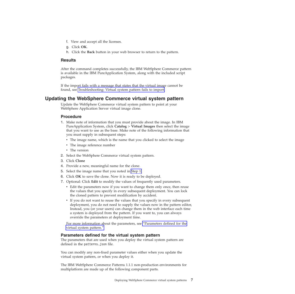- <span id="page-10-0"></span>f. View and accept all the licenses.
- g. Click **OK**.
- h. Click the **Back** button in your web browser to return to the pattern.

#### **Results**

After the command completes successfully, the IBM WebSphere Commerce pattern is available in the IBM PureApplication System, along with the included script packages.

If the import fails with a message that states that the virtual image cannot be found, see Troubleshooting: Virtual system pattern fails to import.

### **Updating the WebSphere Commerce virtual system pattern**

Update the WebSphere Commerce virtual system pattern to point at your WebSphere Application Server virtual image clone.

#### **Procedure**

- <span id="page-10-1"></span>1. Make note of information that you must provide about the image. In IBM PureApplication System, click **Catalog** > **Virtual Images** then select the image that you want to use as the base. Make note of the following information that you must supply in subsequent steps:
	- The image name, which is the name that you clicked to select the image
	- The image reference number
	- The version
- 2. Select the WebSphere Commerce virtual system pattern.
- 3. Click **Clone**
- 4. Provide a new, meaningful name for the clone.
- 5. Select the image name that you noted in [Step 1.](#page-10-1)
- 6. Click **OK** to save the clone. Now it is ready to be deployed.
- 7. Optional: Click **Edit** to modify the values of frequently used parameters.
	- v Edit the parameters now if you want to change them only once, then reuse the values that you specify in every subsequent deployment. You can lock the cloned pattern to prevent modification by accident.
	- v If you do not want to reuse the values that you specify in every subsequent deployment, you do not need to supply the values now in the pattern editor, Instead, you (or your users) can change them in the web interface each time a system is deployed from the pattern. If you want to, you can always override the parameters at deployment time.

For more information about the parameters, see "Parameters defined for the virtual system pattern."

#### **Parameters defined for the virtual system pattern**

The parameters that are used when you deploy the virtual system pattern are defined in the patterns.json file.

You can modify any non-fixed parameter values either when you update the virtual system pattern, or when you deploy it.

The IBM WebSphere Commerce Patterns 1.1.1 non-production environments for multiplatform are made up of the following component parts.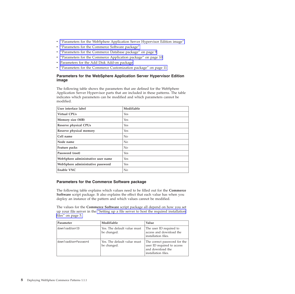- <span id="page-11-0"></span>v "Parameters for the WebSphere Application Server Hypervisor Edition image"
- v "Parameters for the Commerce Software package"
- v ["Parameters for the Commerce Database package" on page 9](#page-12-0)
- v ["Parameters for the Commerce Application package" on page 10](#page-13-0)
- [Parameters for the Add Disk Add-on package](#page-13-1)
- v ["Parameters for the Commerce Customization package" on page 11](#page-14-0)

### **Parameters for the WebSphere Application Server Hypervisor Edition image**

The following table shows the parameters that are defined for the WebSphere Application Server Hypervisor parts that are included in these patterns. The table indicates which parameters can be modified and which parameters cannot be modified.

| User interface label               | Modifiable |
|------------------------------------|------------|
| <b>Virtual CPUs</b>                | Yes        |
| Memory size (MB)                   | Yes        |
| <b>Reserve physical CPUs</b>       | Yes        |
| Reserve physical memory            | <b>Yes</b> |
| Cell name                          | No         |
| Node name                          | No         |
| Feature packs                      | No         |
| Password (root)                    | Yes        |
| WebSphere administrative user name | <b>Yes</b> |
| WebSphere administrative password  | <b>Yes</b> |
| <b>Enable VNC</b>                  | No         |

### **Parameters for the Commerce Software package**

The following table explains which values need to be filled out for the **Commerce Software** script package. It also explains the effect that each value has when you deploy an instance of the pattern and which values cannot be modified.

The values for the **Commerce Software** script package all depend on how you set up your file server in the ["Setting up a file server to host the required installation](#page-8-0) [files" on page 5.](#page-8-0)

| Parameter            | Modifiable                                 | Value                                                                                                 |
|----------------------|--------------------------------------------|-------------------------------------------------------------------------------------------------------|
| downloadUserID       | Yes. The default value must<br>be changed. | The user ID required to<br>access and download the<br>installation files.                             |
| downloadUserPassword | Yes. The default value must<br>be changed. | The correct password for the<br>user ID required to access<br>and download the<br>installation files. |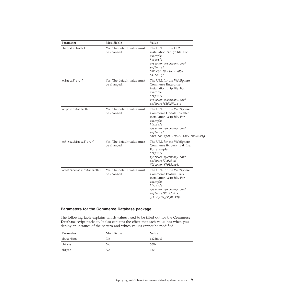<span id="page-12-0"></span>

| Parameter                 | Modifiable                                 | Value                                                                                                                                                                                        |
|---------------------------|--------------------------------------------|----------------------------------------------------------------------------------------------------------------------------------------------------------------------------------------------|
| db2InstallerUrl           | Yes. The default value must<br>be changed. | The URL for the DB2<br>installation tar.gz file. For<br>example:<br>https://<br>myserver.mycompany.com/<br>software/<br>DB2_ESE_10_Linux_x86-<br>$64.7$ ar.gz                                |
| wcInstallerUrl            | Yes. The default value must<br>be changed. | The URL for the WebSphere<br>Commerce Enterprise<br>installation .zip file. For<br>example:<br>https://<br>myserver.mycompany.com/<br>software/CZ6CDML.zip                                   |
| wcUpdiInstallerUrl        | Yes. The default value must<br>be changed. | The URL for the WebSphere<br>Commerce Update Installer<br>installation .zip file. For<br>example:<br>https://<br>myserver.mycompany.com/<br>software/<br>download.updii.7007.linux.amd64.zip |
| wcFixpackInstallerUrl     | Yes. The default value must<br>be changed. | The URL for the WebSphere<br>Commerce fix pack .pak file.<br>For example:<br>https://<br>myserver.mycompany.com/<br>$softmax/7.0.0-WS-$<br>WCServer-FP008.pak.                               |
| wcFeaturePackInstallerUrl | Yes. The default value must<br>be changed. | The URL for the WebSphere<br>Commerce Feature Pack<br>installation .zip file. For<br>example:<br>https://<br>myserver.mycompany.com/<br>software/WC_V7.0_-<br>FEP7 FOR MP ML.zip.            |

### **Parameters for the Commerce Database package**

The following table explains which values need to be filled out for the **Commerce Database** script package. It also explains the effect that each value has when you deploy an instance of the pattern and which values cannot be modified.

| Parameter  | Modifiable | Value           |
|------------|------------|-----------------|
| dbUserName | No         | db2inst1        |
| dbName     | No         | COMM            |
| dbType     | No         | D <sub>B2</sub> |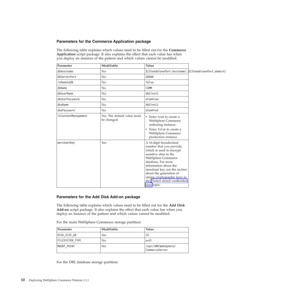### <span id="page-13-0"></span>**Parameters for the Commerce Application package**

The following table explains which values need to be filled out for the **Commerce Application** script package. It also explains the effect that each value has when you deploy an instance of the pattern and which values cannot be modified.

| Parameter           | Modifiable                                 | Value                                                                                                                                                                                                                                                                                                                    |  |
|---------------------|--------------------------------------------|--------------------------------------------------------------------------------------------------------------------------------------------------------------------------------------------------------------------------------------------------------------------------------------------------------------------------|--|
| dbHostname          | No                                         | $${StandalonePart.}$ hostname $}.$ $${StandalonePart.}$                                                                                                                                                                                                                                                                  |  |
| dbServerPort        | N <sub>o</sub>                             | 50000                                                                                                                                                                                                                                                                                                                    |  |
| isRemoteDB          | N <sub>o</sub>                             | false                                                                                                                                                                                                                                                                                                                    |  |
| dbName              | No                                         | COMM                                                                                                                                                                                                                                                                                                                     |  |
| dbUserName          | No                                         | db2inst1                                                                                                                                                                                                                                                                                                                 |  |
| dbUserPassword      | No                                         | eCom4iwd                                                                                                                                                                                                                                                                                                                 |  |
| dbaName             | No                                         | db2inst1                                                                                                                                                                                                                                                                                                                 |  |
| dbaPassword         | No                                         | eCom4iwd                                                                                                                                                                                                                                                                                                                 |  |
| isContentManagement | Yes. The default value must<br>be changed. | Enter true to create a<br>WebSphere Commerce<br>authoring instance.<br>Enter false to create a<br>$\bullet$<br>WebSphere Commerce<br>production instance                                                                                                                                                                 |  |
| merchantKey         | Yes                                        | A 16-digit hexadecimal<br>number that you provide,<br>which is used to encrypt<br>sensitive data in the<br>WebSphere Commerce<br>database. For more<br>information about the<br>merchant key, see the section<br>about the generation of<br>strong cryptographic keys in<br>the Protect stored cardholder<br>data topic. |  |

### <span id="page-13-1"></span>**Parameters for the Add Disk Add-on package**

The following table explains which values need to be filled out for the **Add Disk Add-on** script package. It also explains the effect that each value has when you deploy an instance of the pattern and which values cannot be modified.

For the main WebSphere Commerce storage partition:

| Parameter              | Modifiable     | Value                                 |
|------------------------|----------------|---------------------------------------|
| DISK SIZE GB           | Yes            | 20                                    |
| <b>FILESYSTEM TYPE</b> | N <sub>0</sub> | $ext{3}$                              |
| MOUNT POINT            | No             | /opt/IBM/WebSphere/<br>CommerceServer |

For the DB2 database storage partition: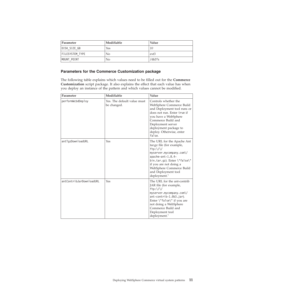<span id="page-14-0"></span>

| Parameter              | Modifiable | Value    |
|------------------------|------------|----------|
| DISK SIZE GB           | Yes        | 10       |
| <b>FILESYSTEM TYPE</b> | No         | $ext{3}$ |
| MOUNT POINT            | No         | /db2fs   |

### **Parameters for the Commerce Customization package**

The following table explains which values need to be filled out for the **Commerce Customization** script package. It also explains the effect that each value has when you deploy an instance of the pattern and which values cannot be modified.

| Parameter                | Modifiable                                 | Value                                                                                                                                                                                                                                                |
|--------------------------|--------------------------------------------|------------------------------------------------------------------------------------------------------------------------------------------------------------------------------------------------------------------------------------------------------|
| performWcbdDeploy        | Yes. The default value must<br>be changed. | Controls whether the<br>WebSphere Commerce Build<br>and Deployment tool runs or<br>does not run. Enter true if<br>you have a WebSphere<br>Commerce Build and<br>Deployment server<br>deployment package to<br>deploy. Otherwise, enter<br>false.     |
| antTgzDownloadURL        | Yes                                        | The URL for the Apache Ant<br>tar.gz file (for example,<br>$ftp:\\/\\$<br>myserver.mycompany.com\/<br>apache-ant-1.8.4-<br>bin.tar.gz). Enter \"false\"<br>if you are not doing a<br>WebSphere Commerce Build<br>and Deployment tool<br>deployment." |
| antContribJarDownloadURL | Yes                                        | The URL for the ant-contrib<br>JAR file (for example,<br>$ftp:\1/\1/$<br>myserver.mycompany.com\/<br>ant-contrib-1.0b3.jar).<br>Enter \"false\" if you are<br>not doing a WebSphere<br>Commerce Build and<br>Deployment tool<br>deployment."         |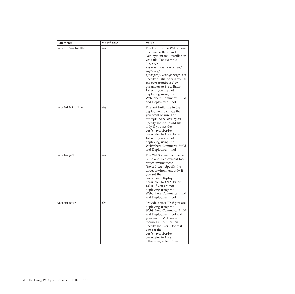| Parameter          | Modifiable | Value                                                                                                                                                                                                                                                                                                                                                                                  |
|--------------------|------------|----------------------------------------------------------------------------------------------------------------------------------------------------------------------------------------------------------------------------------------------------------------------------------------------------------------------------------------------------------------------------------------|
| wcbdZipDownloadURL | Yes        | The URL for the WebSphere<br>Commerce Build and<br>Deployment tool installation<br>.zip file. For example:<br>https://<br>myserver.mycompany.com/<br>software/<br>mycompany.wcbd.package.zip.<br>Specify a URL only if you set<br>the performWcbdDeploy<br>parameter to true. Enter<br>false if you are not<br>deploying using the<br>WebSphere Commerce Build<br>and Deployment tool. |
| wcbdAntBuildfile   | Yes        | The Ant build file in the<br>deployment package that<br>you want to run. For<br>example: wcbd-deploy.xml.<br>Specify the Ant build file<br>only if you set the<br>performWcbdDeploy<br>parameter to true. Enter<br>false if you are not<br>deploying using the<br>WebSphere Commerce Build<br>and Deployment tool.                                                                     |
| wcbdTargetEnv      | Yes        | The WebSphere Commerce<br>Build and Deployment tool<br>target environment.<br>(target_env). Specify the<br>target environment only if<br>you set the<br>performWcbdDeploy<br>parameter to true. Enter<br>false if you are not<br>deploying using the<br>WebSphere Commerce Build<br>and Deployment tool.                                                                               |
| wcbdSmtpUser       | Yes        | Provide a user ID if you are<br>deploying using the<br>WebSphere Commerce Build<br>and Deployment tool and<br>your mail SMTP server<br>requires authentication.<br>Specify the user IDonly if<br>you set the<br>performWcbdDeploy<br>parameter to true.<br>Otherwise, enter false.                                                                                                     |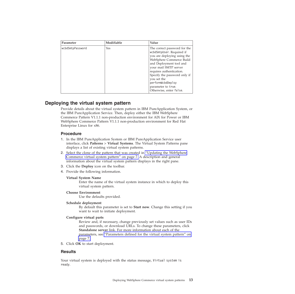<span id="page-16-0"></span>

| Parameter        | Modifiable | Value                                                                                                                                                                                                                                                                                                                     |
|------------------|------------|---------------------------------------------------------------------------------------------------------------------------------------------------------------------------------------------------------------------------------------------------------------------------------------------------------------------------|
| wcbdSmtpPassword | Yes        | The correct password for the<br>wcbdSmtpUser. Required if<br>you are deploying using the<br>WebSphere Commerce Build<br>and Deployment tool and<br>your mail SMTP server<br>requires authentication.<br>Specify the password only if<br>you set the<br>performWcbdDeploy<br>parameter to true.<br>Otherwise, enter false. |

### **Deploying the virtual system pattern**

Provide details about the virtual system pattern in IBM PureApplication System, or the IBM PureApplication Service. Then, deploy either the IBM WebSphere Commerce Pattern V1.1.1 non-production environment for AIX for Power or IBM WebSphere Commerce Pattern V1.1.1 non-production environment for Red Hat Enterprise Linux for x86.

### **Procedure**

- 1. In the IBM PureApplication System or IBM PureApplication Service user interface, click **Patterns** > **Virtual Systems**. The Virtual System Patterns pane displays a list of existing virtual system patterns.
- 2. Select the clone of the pattern that was created in ["Updating the WebSphere](#page-10-0) [Commerce virtual system pattern" on page 7.](#page-10-0) A description and general information about the virtual system pattern displays in the right pane.
- 3. Click the **Deploy** icon on the toolbar.
- 4. Provide the following information.

### **Virtual System Name**

Enter the name of the virtual system instance in which to deploy this virtual system pattern.

### **Choose Environment**

Use the defaults provided.

### **Schedule deployment**

By default this parameter is set to **Start now**. Change this setting if you want to wait to initiate deployment.

### **Configure virtual parts**

Review and, if necessary, change previously set values such as user IDs and passwords, or download URLs. To change these parameters, click **Standalone server** link. For more information about each of the parameters, see ["Parameters defined for the virtual system pattern" on](#page-10-0) [page 7.](#page-10-0)

5. Click **OK** to start deployment.

### **Results**

Your virtual system is deployed with the status message, Virtual system is ready.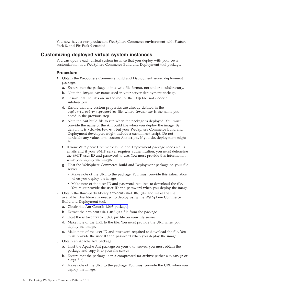You now have a non-production WebSphere Commerce environment with Feature Pack 8, and Fix Pack 9 enabled.

### <span id="page-17-0"></span>**Customizing deployed virtual system instances**

You can update each virtual system instance that you deploy with your own customization in a WebSphere Commerce Build and Deployment tool package.

#### **Procedure**

- 1. Obtain the WebSphere Commerce Build and Deployment server deployment package.
	- a. Ensure that the package is in a .zip file format, not under a subdirectory.
	- b. Note the *target-env* name used in your server deployment package.
	- c. Ensure that the files are in the root of the .zip file, not under a subdirectory.
	- d. Ensure that any custom properties are already defined in the deploy-*target-env*.properties file, where *target-env* is the name you noted in the previous step.
	- e. Note the Ant build file to run when the package is deployed. You must provide the name of the Ant build file when you deploy the image. By default, it is wcbd-deploy.xml, but your WebSphere Commerce Build and Deployment developers might include a custom Ant script. Do not hardcode any values into custom Ant scripts. If you do, deployment might fail.
	- f. If your WebSphere Commerce Build and Deployment package sends status emails and if your SMTP server requires authentication, you must determine the SMTP user ID and password to use. You must provide this information when you deploy the image.
	- g. Host the WebSphere Commerce Build and Deployment package on your file server.
		- Make note of the URL to the package. You must provide this information when you deploy the image.
		- Make note of the user ID and password required to download the file. You must provide the user ID and password when you deploy the image.
- 2. Obtain the third-party library ant-contrib-1.0b3.jar and make the file available. This library is needed to deploy using the WebSphere Commerce Build and Deployment tool.
	- a. Obtain the [Ant-Contrib 1.0b3 package.](ant_ant-contrib)
	- b. Extract the ant-contrib-1.0b3.jar file from the package.
	- c. Host the ant-contrib-1.0b3.jar file on your file server.
	- d. Make note of the URL to the file. You must provide the URL when you deploy the image.
	- e. Make note of the user ID and password required to download the file. You must provide the user ID and password when you deploy the image.
- 3. Obtain an Apache Ant package.
	- a. Host the Apache Ant package on your own server, you must obtain the package and copy it to your file server.
	- b. Ensure that the package is in a compressed tar archive (either a  $\star$ , tar, gz or \*.tgz file).
	- c. Make note of the URL to the package. You must provide the URL when you deploy the image.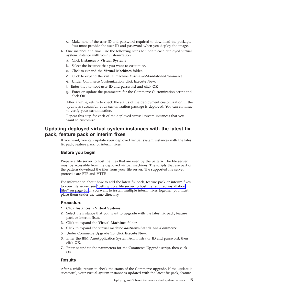- d. Make note of the user ID and password required to download the package. You must provide the user ID and password when you deploy the image.
- <span id="page-18-0"></span>4. One instance at a time, use the following steps to update each deployed virtual system instance with your customization.
	- a. Click **Instances** > **Virtual Systems**
	- b. Select the instance that you want to customize.
	- c. Click to expand the **Virtual Machines** folder.
	- d. Click to expand the virtual machine *hostname***-Standalone-Commerce**
	- e. Under Commerce Customization, click **Execute Now**.
	- f. Enter the non-root user ID and password and click **OK**
	- g. Enter or update the parameters for the Commerce Customization script and click **OK**.

After a while, return to check the status of the deployment customization. If the update is successful, your customization package is deployed. You can continue to verify your customization.

Repeat this step for each of the deployed virtual system instances that you want to customize.

### **Updating deployed virtual system instances with the latest fix pack, feature pack or interim fixes**

If you want, you can update your deployed virtual system instances with the latest fix pack, feature pack, or interim fixes.

### **Before you begin**

Prepare a file server to host the files that are used by the pattern. The file server must be accessible from the deployed virtual machines. The scripts that are part of the pattern download the files from your file server. The supported file server protocols are FTP and HTTP.

For information about how to add the latest fix pack, feature pack or interim fixes to your file server, see ["Setting up a file server to host the required installation](#page-23-0) [files" on page 20.](#page-23-0) If you want to install multiple interim fixes together, you must place them under the same directory.

#### **Procedure**

- 1. Click **Instances** > **Virtual Systems**
- 2. Select the instance that you want to upgrade with the latest fix pack, feature pack or interim fixes.
- 3. Click to expand the **Virtual Machines** folder.
- 4. Click to expand the virtual machine *hostname***-Standalone-Commerce**
- 5. Under Commerce Upgrade 1.0, click **Execute Now**.
- 6. Enter the IBM PureApplication System Administrator ID and password, then click **OK**.
- 7. Enter or update the parameters for the Commerce Upgrade script, then click **OK**.

### **Results**

After a while, return to check the status of the Commerce upgrade. If the update is successful, your virtual system instance is updated with the latest fix pack, feature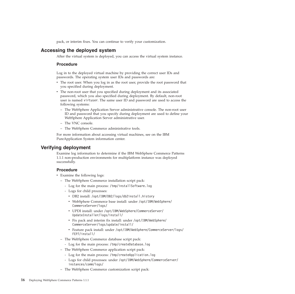pack, or interim fixes. You can continue to verify your customization.

### <span id="page-19-0"></span>**Accessing the deployed system**

After the virtual system is deployed, you can access the virtual system instance.

#### **Procedure**

Log in to the deployed virtual machine by providing the correct user IDs and passwords. The operating system user IDs and passwords are:

- v The root user. When you log in as the root user, provide the root password that you specified during deployment.
- The non-root user that you specified during deployment and its associated password, which you also specified during deployment. By default, non-root user is named virtuser. The same user ID and password are used to access the following systems:
	- The WebSphere Application Server administrative console. The non-root user ID and password that you specify during deployment are used to define your WebSphere Application Server administrative user.
	- The VNC console.
	- The WebSphere Commerce administrative tools.

For more information about accessing virtual machines, see on the IBM PureApplication System information center.

### **Verifying deployment**

Examine log information to determine if the IBM WebSphere Commerce Patterns 1.1.1 non-production environments for multiplatform instance was deployed successfully.

#### **Procedure**

- Examine the following logs:
	- The WebSphere Commerce installation script pack:
		- Log for the main process: /tmp/installSoftware.log
		- Logs for child processes:
			- v DB2 install: /opt/IBM/DB2/logs/db2install.history
			- v WebSphere Commerce base install: under /opt/IBM/WebSphere/ CommerceServer/logs/
			- v UPDI install: under /opt/IBM/WebSphere/CommerceServer/ UpdateInstaller/logs/install/
			- v Fix pack and interim fix install: under /opt/IBM/WebSphere/ CommerceServer/logs/update/install/
			- Feature pack install: under /opt/IBM/WebSphere/CommerceServer/logs/ FEP7/install/
	- The WebSphere Commerce database script pack:
		- Log for the main process: /tmp/createDatabase.log
	- The WebSphere Commerce application script pack:
		- Log for the main process: /tmp/createApplication.log
		- Logs for child processes: under /opt/IBM/WebSphere/CommerceServer/ instances/comm/logs/
	- The WebSphere Commerce customization script pack: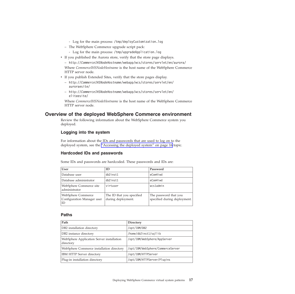- Log for the main process: /tmp/deployCustomization.log
- <span id="page-20-0"></span>– The WebSphere Commerce upgrade script pack:
	- Log for the main process: /tmp/upgradeApplication.log
- If you published the Aurora store, verify that the store page displays.

– http://*CommerceIHSNodeHostname*/webapp/wcs/stores/servlet/en/aurora/

Where *CommerceIHSNodeHostname* is the host name of the WebSphere Commerce HTTP server node.

- v If you publish Extended Sites, verify that the store pages display.
	- http://*CommerceIHSNodeHostname*/webapp/wcs/stores/servlet/en/ auroraesite/
	- http://*CommerceIHSNodeHostname*/webapp/wcs/stores/servlet/en/ eliteesite/

Where *CommerceIHSNodeHostname* is the host name of the WebSphere Commerce HTTP server node.

### **Overview of the deployed WebSphere Commerce environment**

Review the following information about the WebSphere Commerce system you deployed.

### **Logging into the system**

For information about the IDs and passwords that are used to log on to the deployed system, see the ["Accessing the deployed system" on page 16](#page-19-0) topic.

### **Hardcoded IDs and passwords**

Some IDs and passwords are hardcoded. These passwords and IDs are:

| <b>User</b>                                            | ID                                              | Password                                              |
|--------------------------------------------------------|-------------------------------------------------|-------------------------------------------------------|
| Database user                                          | db2inst1                                        | eCom4iwd                                              |
| Database administrator                                 | db2inst1                                        | eCom4iwd                                              |
| WebSphere Commerce site<br>administrator               | virtuser                                        | wcsladmin                                             |
| WebSphere Commerce<br>Configuration Manager user<br>ID | The ID that you specified<br>during deployment. | The password that you<br>specified during deployment. |

#### **Paths**

| Path                                                   | Directory                         |
|--------------------------------------------------------|-----------------------------------|
| DB2 installation directory                             | /opt/IBM/DB2                      |
| DB <sub>2</sub> instance directory                     | /home/db2inst1/sqllib             |
| WebSphere Application Server installation<br>directory | /opt/IBM/WebSphere/AppServer      |
| WebSphere Commerce installation directory              | /opt/IBM/WebSphere/CommerceServer |
| IBM HTTP Server directory                              | /opt/IBM/HTTPServer               |
| Plug-in installation directory                         | /opt/IBM/HTTPServer/Plugins       |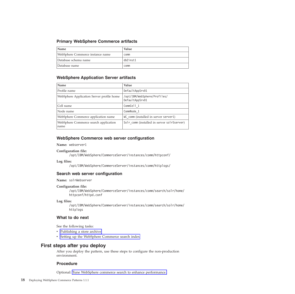### <span id="page-21-0"></span>**Primary WebSphere Commerce artifacts**

| <b>Name</b>                      | Value    |
|----------------------------------|----------|
| WebSphere Commerce instance name | comm     |
| Database schema name             | db2inst1 |
| Database name                    | comm     |

### **WebSphere Application Server artifacts**

| Name                                          | Value                                           |
|-----------------------------------------------|-------------------------------------------------|
| Profile name                                  | DefaultAppSrv01                                 |
| WebSphere Application Server profile home     | /opt/IBM/WebSphere/Profiles/<br>DefaultAppSrv01 |
| Cell name                                     | CommCell 1                                      |
| Node name                                     | CommNode 1                                      |
| WebSphere Commerce application name           | WC comm (installed in server server1)           |
| WebSphere Commerce search application<br>name | Solr comm (installed in server solrSserver)     |

### **WebSphere Commerce web server configuration**

**Name:** webserver1

**Configuration file:**

/opt/IBM/WebSphere/CommerceServer/instances/comm/httpconf/

**Log files:**

/opt/IBM/WebSphere/CommerceServer/instances/comm/httplogs/

### **Search web server configuration**

**Name:** solrWebserver

#### **Configuration file:**

/opt/IBM/WebSphere/CommerceServer/instances/comm/search/solr/home/ httpconf/httpd.conf

#### **Log files:**

/opt/IBM/WebSphere/CommerceServer/instances/comm/search/solr/home/ httplogs

### **What to do next**

See the following tasks:

- Publishing a store archive
- Setting up the WebSphere Commerce search index

### **First steps after you deploy**

After you deploy the pattern, use these steps to configure the non-production environment.

### **Procedure**

Optional: Tune WebSphere commerce search to enhance performance.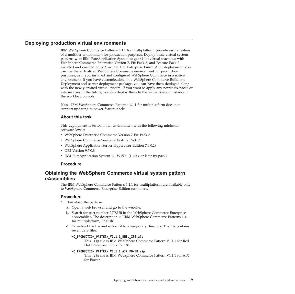### <span id="page-22-0"></span>**Deploying production virtual environments**

<span id="page-22-1"></span>IBM WebSphere Commerce Patterns 1.1.1 for multiplatform provide virtualization of a multitier environment for production purposes. Deploy these virtual system patterns with IBM PureApplication System to get 64-bit virtual machines with WebSphere Commerce Enterprise Version 7, Fix Pack 8, and Feature Pack 7 installed and enabled on AIX or Red Hat Enterprise Linux. After deployment, you can use the virtualized WebSphere Commerce environment for production purposes, as if you installed and configured WebSphere Commerce in a native environment. If you have customizations in a WebSphere Commerce Build and Deployment tool server deployment package, you can have them deployed along with the newly created virtual system. If you want to apply any newer fix packs or interim fixes in the future, you can deploy them to the virtual system instance in the workload console.

**Note:** IBM WebSphere Commerce Patterns 1.1.1 for multiplatform does not support updating to newer feature packs.

### **About this task**

This deployment is tested on an environment with the following minimum software levels:

- WebSphere Enterprise Commerce Version 7 Fix Pack 8
- WebSphere Commerce Version 7 Feature Pack 7
- v WebSphere Application Server Hypervisor Edition 7.0.0.29
- DB2 Version 9.7.0.8
- v IBM PureApplication System 1.1 W1500 (1.1.0.*x* or later fix pack)

#### **Procedure**

### **Obtaining the WebSphere Commerce virtual system pattern eAssemblies**

<span id="page-22-2"></span>The IBM WebSphere Commerce Patterns 1.1.1 for multiplatform are available only to WebSphere Commerce Enterprise Edition customers.

#### **Procedure**

- 1. Download the patterns.
	- a. Open a web browser and go to the website:
	- b. Search for part number CIYA7EN in the WebSphere Commerce Enterprise eAssemblies. The description is "IBM WebSphere Commerce Patterns 1.1.1 for multiplatform, English"
	- c. Download the file and extract it to a temporary directory. The file contains seven .zip files:

#### WC\_PRODUCTION\_PATTERN\_V1.1.1\_RHEL\_X86.zip

This .zip file is IBM WebSphere Commerce Pattern V1.1.1 for Red Hat Enterprise Linux for x86.

#### **WC\_PRODUCTION\_PATTERN\_V1.1.1\_AIX\_POWER.zip**

This .zip file is IBM WebSphere Commerce Pattern V1.1.1 for AIX for Power.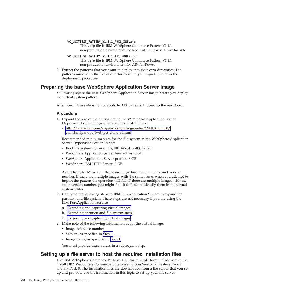#### <span id="page-23-0"></span>**WC\_UNITTEST\_PATTERN\_V1.1.1\_RHEL\_X86.zip**

This .zip file is IBM WebSphere Commerce Pattern V1.1.1 non-production environment for Red Hat Enterprise Linux for x86.

**WC\_UNITTEST\_PATTERN\_V1.1.1\_AIX\_POWER.zip**

<span id="page-23-2"></span>This .zip file is IBM WebSphere Commerce Pattern V1.1.1 non-production environment for AIX for Power.

2. Extract the patterns that you want to deploy into their own directories. The patterns must be in their own directories when you import it, later in the deployment procedure.

### **Preparing the base WebSphere Application Server image**

You must prepare the base WebSphere Application Server image before you deploy the virtual system pattern.

**Attention:** These steps do not apply to AIX patterns. Proceed to the next topic.

#### **Procedure**

- <span id="page-23-1"></span>1. Expand the size of the file system on the WebSphere Application Server Hypervisor Edition images. Follow these instructions:
	- v [http://www.ibm.com/support/knowledgecenter/SSNLXH\\_1.0.0/](http://www.ibm.com/support/knowledgecenter/SSNLXH_1.0.0/com.ibm.ipas.doc/iwd/pct_clone_vi.html) [com.ibm.ipas.doc/iwd/pct\\_clone\\_vi.html](http://www.ibm.com/support/knowledgecenter/SSNLXH_1.0.0/com.ibm.ipas.doc/iwd/pct_clone_vi.html)

Recommended minimum sizes for the file system in the WebSphere Application Server Hypervisor Edition image:

- Root file system (for example, RHEL62-64. vmdk): 12 GB
- WebSphere Application Server binary files: 8 GB
- WebSphere Application Server profiles: 6 GB
- WebSphere IBM HTTP Server: 2 GB

**Avoid trouble:** Make sure that your image has a unique name and version number. If there are multiple images with the same name, when you attempt to import the pattern the operation will fail. If there are multiple images with the same version number, you might find it difficult to identify them in the virtual system editor.

- 2. Complete the following steps in IBM PureApplication System to expand the partition and file system. These steps are not necessary if you are using the IBM PureApplication Service.
	- a. [Extending and capturing virtual images.](http://www.ibm.com/support/knowledgecenter/SSNLXH_1.0.0/com.ibm.ipas.doc/iwd/pct_extend_vi.html)
	- b. [Extending partition and file system sizes.](http://www.ibm.com/support/knowledgecenter/SSNLXH_1.0.0/com.ibm.ipas.doc/iwd/pct_extend_fs.html)
	- c. [Extending and capturing virtual images.](http://www.ibm.com/support/knowledgecenter/SSNLXH_1.0.0/com.ibm.ipas.doc/iwd/pct_extend_vi.html)
- 3. Make note of the following information about the virtual image.
	- Image reference number
	- Version, as specified in [Step 1.](#page-23-1)
	- Image name, as specified in [Step 1.](#page-23-1)

You must provide these values in a subsequent step.

### **Setting up a file server to host the required installation files**

The IBM WebSphere Commerce Patterns 1.1.1 for multiplatform include scripts that install DB2, WebSphere Commerce Enterprise Edition Version 7, Feature Pack 7, and Fix Pack 8. The installation files are downloaded from a file server that you set up and provide. Use the information in this topic to set up your file server.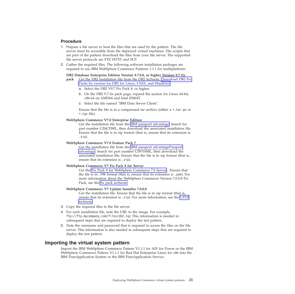### <span id="page-24-0"></span>**Procedure**

- 1. Prepare a file server to host the files that are used by the pattern. The file server must be accessible from the deployed virtual machines. The scripts that are part of the pattern download the files from your file server. The supported file server protocols are FTP, HTTP, and SCP.
- 2. Gather the required files. The following software installation packages are required to use IBM WebSphere Commerce Patterns 1.1.1 for multiplatform:

**DB2 Database Enterprise Edition Version 9.7.0.8, or higher Version 9.7 fix**

**pack** Get the DB2 installation file from the DB2 technote, [Download DB2 Fix](http://www.ibm.com/support/docview.wss?uid=swg27007053) [Packs by version for DB2 for Linux, UNIX, and Windows](http://www.ibm.com/support/docview.wss?uid=swg27007053)

- a. Select the DB2 V9.7 Fix Pack 8, or higher.
- b. On the DB2 9.7 fix pack page, expand the section for Linux 64-bit, x86-64 on AMD64 and Intel EM64T.
- c. Select the file named "IBM Data Server Client".

Ensure that the file is in a compressed tar archive (either a \*.tar.gz or \*.tgz file).

#### **WebSphere Commerce V7.0 Enterprise Edition**

Get the installation file from the [IBM passport advantage.](http://www.ibm.com/software/howtobuy/passportadvantage/) Search for part number CZ6CDML, then download the associated installation file. Ensure that the file is in zip format (that is, ensure that its extension is .zip).

#### **WebSphere Commerce V7.0 Feature Pack 7**

Get the installation file from the [IBM passport advantagePassport](http://www.ibm.com/software/howtobuy/passportadvantage/) [advantage.](http://www.ibm.com/software/howtobuy/passportadvantage/) Search for part number CIWY6ML, then download the associated installation file. Ensure that the file is in zip format (that is, ensure that its extension is .zip).

#### **WebSphere Commerce V7 Fix Pack 8 for Server**

Get the [Fix Pack 8 for WebSphere Commerce 7.0 Server](https://www.ibm.com/support/fixcentral/swg/selectFixes?parent=ibm%2FWebSphere&product=ibm/WebSphere/WebSphere+Commerce&release=All&platform=All&function=fixId&fixids=7.0.0-WS-WCServer-FP008&includeSupersedes=0) . Ensure that the file is in .PAK format (that is, ensure that its extension is .pak). For more information about the WebSphere Commerce Version 7.0.0.8 Fix Pack, see the [fix pack technote.](http://www.ibm.com/support/docview.wss?uid=swg24034686)

#### **WebSphere Commerce V7 Update Installer 7.0.0.8**

Get the installation file. Ensure that the file is in zip format (that is, ensure that its extension is .zip). For more information, see the [UPDI](http://www.ibm.com/support/docview.wss?uid=swg24013502) [technote.](http://www.ibm.com/support/docview.wss?uid=swg24013502)

- 3. Copy the required files to the file server.
- 4. For each installation file, note the URL to the image. For example, ftp://ftp.mycompany.com/files/db2.tgz This information is needed in subsequent steps that are required to deploy the test pattern.
- 5. Note the username and password that is required to access the files on the file server. This information is also needed in subsequent steps that are required to deploy the test pattern.

### **Importing the virtual system pattern**

Import the IBM WebSphere Commerce Pattern V1.1.1 for AIX for Power or the IBM WebSphere Commerce Pattern V1.1.1 for Red Hat Enterprise Linux for x86 into the IBM PureApplication System or the IBM PureApplication Service.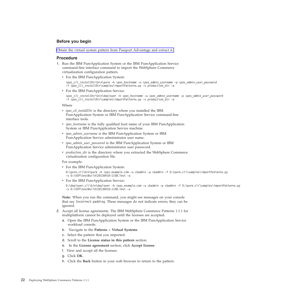### **Before you begin**

[Obtain the virtual system pattern from Passport Advantage and extract it.](#page-22-2)

#### **Procedure**

- 1. Run the IBM PureApplication System or the IBM PureApplication Service command-line interface command to import the WebSphere Commerce virtualization configuration pattern.
	- For the IBM PureApplication System:

*ipas\_cli\_installDir*\bin\pure -h *ipas\_hostname* -u *ipas\_admin\_username* -p *ipas\_admin\_user\_password* -f *ipas\_cli\_installDir*\samples\importPatterns.py -s *production\_dir* -a

• For the IBM PureApplication Service:

```
ipas_cli_installDir\bin\deployer -h ipas_hostname -u ipas_admin_username -p ipas_admin_user_password
-f ipas_cli_installDir\samples\importPatterns.py -s production_dir -a
```
#### Where

- *ipas\_cli\_installDir* is the directory where you installed the IBM PureApplication System or IBM PureApplication Service command-line interface tools.
- *ipas\_hostname* is the fully qualified host name of your IBM PureApplication System or IBM PureApplication Service machine.
- *ipas\_admin\_username* is the IBM PureApplication System or IBM PureApplication Service administrator user name.
- *ipas\_admin\_user\_password* is the IBM PureApplication System or IBM PureApplication Service administrator user password.
- *production\_dir* is the directory where you extracted the WebSphere Commerce virtualization configuration file.

#### For example:

• For the IBM PureApplication System:

D:\pure.cli\bin\pure -h ipas.example.com -u cbadmin -p cbadmin -f D:\pure.cli\samples\importPat -s D:\VSP\testBuild\20130410-1158.Test -a

• For the IBM PureApplication Service:

```
D:\deployer.cli\bin\deployer -h ipas.example.com -u cbadmin -p cbadmin -f D:\pure.cli\samples\
-s D:\VSP\testBuild\20130410-1158.Test -a
```
**Note:** When you run the command, you might see messages on your console that say Incorrect padding. These messages do not indicate errors; they can be ignored.

- 2. Accept all license agreements. The IBM WebSphere Commerce Patterns 1.1.1 for multiplatform cannot be deployed until the licenses are accepted.
	- a. Open the IBM PureApplication System or the IBM PureApplication Service workload console.
	- b. Navigate to the **Patterns** > **Virtual Systems**
	- c. Select the pattern that you imported.
	- d. Scroll to the **License status in this pattern** section.
	- e. In the **License agreement** section, click **Accept license**.
	- f. View and accept all the licenses.
	- g. Click **OK**.
	- h. Click the **Back** button in your web browser to return to the pattern.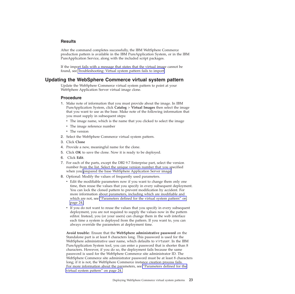### <span id="page-26-0"></span>**Results**

After the command completes successfully, the IBM WebSphere Commerce production pattern is available in the IBM PureApplication System, or in the IBM PureApplication Service, along with the included script packages.

If the import fails with a message that states that the virtual image cannot be found, see Troubleshooting: Virtual system pattern fails to import.

### **Updating the WebSphere Commerce virtual system pattern**

Update the WebSphere Commerce virtual system pattern to point at your WebSphere Application Server virtual image clone.

### **Procedure**

- 1. Make note of information that you must provide about the image. In IBM PureApplication System, click **Catalog** > **Virtual Images** then select the image that you want to use as the base. Make note of the following information that you must supply in subsequent steps:
	- The image name, which is the name that you clicked to select the image
	- The image reference number
	- The version
- 2. Select the WebSphere Commerce virtual system pattern.
- 3. Click **Clone**
- 4. Provide a new, meaningful name for the clone.
- 5. Click **OK** to save the clone. Now it is ready to be deployed.
- 6. Click **Edit**.
- 7. For each of the parts, except the DB2 9.7 Enterprise part, select the version number from the list. Select the unique version number that you specified when you [prepared the base WebSphere Application Server image.](#page-23-2)
- 8. Optional: Modify the values of frequently used parameters.
	- Edit the modifiable parameters now if you want to change them only one time, then reuse the values that you specify in every subsequent deployment. You can lock the cloned pattern to prevent modification by accident. For more information about parameters, including which are modifiable and which are not, see ["Parameters defined for the virtual system pattern" on](#page-27-0) [page 24.](#page-27-0)
	- v If you do not want to reuse the values that you specify in every subsequent deployment, you are not required to supply the values now in the pattern editor. Instead, you (or your users) can change them in the web interface each time a system is deployed from the pattern. If you want to, you can always override the parameters at deployment time.

**Avoid trouble:** Ensure that the **WebSphere administrative password** on the Standalone part is at least 8 characters long. This password is used for the WebSphere administrative user name, which defaults to virtuser. In the IBM PureApplication System tool, you can enter a password that is shorter than 8 characters. However, if you do so, the deployment fails because the same password is used for the WebSphere Commerce site administrator ID. The WebSphere Commerce site administrator password must be at least 8 characters long; if it is not, the WebSphere Commerce instance creation process fails. For more information about the parameters, see ["Parameters defined for the](#page-27-0) [virtual system pattern" on page 24.](#page-27-0)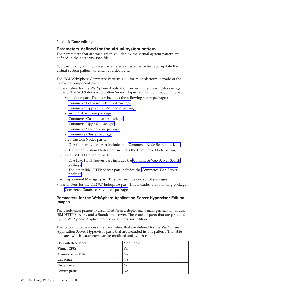<span id="page-27-0"></span>9. Click **Done editing**.

### **Parameters defined for the virtual system pattern**

The parameters that are used when you deploy the virtual system pattern are defined in the patterns.json file.

You can modify any non-fixed parameter values either when you update the virtual system pattern, or when you deploy it.

The IBM WebSphere Commerce Patterns 1.1.1 for multiplatform is made of the following component parts.

- Parameters for the WebSphere Application Server Hypervisor Edition image parts. The WebSphere Application Server Hypervisor Edition image parts are:
	- Standalone part. This part includes the following script packages:
		- - [Commerce Software Advanced package](#page-28-0)
		- - [Commerce Application Advanced package](#page-29-0)
		- - [Add Disk Add-on package](#page-31-0)
		- - [Commerce Customization package](#page-31-1)
		- - [Commerce Upgrade package](#page-33-0)
		- - [Commerce Starter Store package](#page-33-1)
		- - [Commerce Cluster package](#page-34-0)
	- Two Custom Nodes parts:
		- One Custom Nodes part includes the [Commerce Node Search package.](#page-34-1)
		- The other Custom Nodes part includes the [Commerce Node package.](#page-34-2)
	- Two IBM HTTP Server parts:
		- One IBM HTTP Server part includes the [Commerce Web Server Search](#page-35-0) [package.](#page-35-0)
		- The other IBM HTTP Server part includes the [Commerce Web Server](#page-35-1) [package.](#page-35-1)
	- Deployment Manager part. This part includes no script packages.
- Parameters for the DB2 9.7 Enterprise part. This includes the following package.
	- – [Commerce Database Advanced package](#page-36-1)

### **Parameters for the WebSphere Application Server Hypervisor Edition images**

The production pattern is assembled from a deployment manager, custom nodes, IBM HTTP Servers, and a Standalone server. These are all parts that are provided by the WebSphere Application Server Hypervisor Edition.

The following table shows the parameters that are defined for the WebSphere Application Server Hypervisor parts that are included in this pattern. The table indicates which parameters can be modified and which cannot.

| User interface label | Modifiable     |
|----------------------|----------------|
| Virtual CPUs         | Yes            |
| Memory size (MB)     | Yes            |
| Cell name            | N <sub>0</sub> |
| Node name            | $\rm No$       |
| Feature packs        | No             |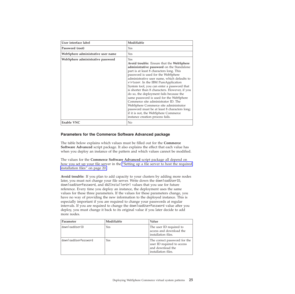| User interface label               | Modifiable                                                                                                                                                                                                                                                                                                                                                                                                                                                                                                                                                                                                                                                             |
|------------------------------------|------------------------------------------------------------------------------------------------------------------------------------------------------------------------------------------------------------------------------------------------------------------------------------------------------------------------------------------------------------------------------------------------------------------------------------------------------------------------------------------------------------------------------------------------------------------------------------------------------------------------------------------------------------------------|
| Password (root)                    | Yes                                                                                                                                                                                                                                                                                                                                                                                                                                                                                                                                                                                                                                                                    |
| WebSphere administrative user name | Yes                                                                                                                                                                                                                                                                                                                                                                                                                                                                                                                                                                                                                                                                    |
| WebSphere administrative password  | Yes<br>Avoid trouble: Ensure that the WebSphere<br>administrative password on the Standalone<br>part is at least 8 characters long. This<br>password is used for the WebSphere<br>administrative user name, which defaults to<br>virtuser. In the IBM PureApplication<br>System tool, you can enter a password that<br>is shorter than 8 characters. However, if you<br>do so, the deployment fails because the<br>same password is used for the WebSphere<br>Commerce site administrator ID. The<br>WebSphere Commerce site administrator<br>password must be at least 8 characters long;<br>if it is not, the WebSphere Commerce<br>instance creation process fails. |
| <b>Enable VNC</b>                  | No                                                                                                                                                                                                                                                                                                                                                                                                                                                                                                                                                                                                                                                                     |

### <span id="page-28-0"></span>**Parameters for the Commerce Software Advanced package**

The table below explains which values must be filled out for the **Commerce Software Advanced** script package. It also explains the effect that each value has when you deploy an instance of the pattern and which values cannot be modified.

The values for the **Commerce Software Advanced** script package all depend on how you set up your file server in the ["Setting up a file server to host the required](#page-23-0) [installation files" on page 20.](#page-23-0)

**Avoid trouble:** If you plan to add capacity to your clusters by adding more nodes later, you must not change your file server. Write down the downloadUserID, downloadUserPassword, and db2InstallerUrl values that you use for future reference. Every time you deploy an instance, the deployment uses the same values for these three parameters. If the values for these parameters change, you have no way of providing the new information to the deployed instance. This is especially important if you are required to change your passwords at regular intervals. If you are required to change the downloadUserPassword value after you deploy, you must change it back to its original value if you later decide to add more nodes.

| Parameter            | Modifiable | Value                                                                                                 |  |
|----------------------|------------|-------------------------------------------------------------------------------------------------------|--|
| downloadUserID       | Yes        | The user ID required to<br>access and download the<br>installation files.                             |  |
| downloadUserPassword | Yes        | The correct password for the<br>user ID required to access<br>and download the<br>installation files. |  |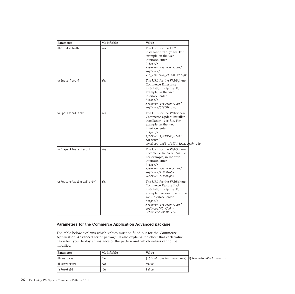| Parameter                 | Modifiable | Value                                                                                                                                                                                                                         |  |
|---------------------------|------------|-------------------------------------------------------------------------------------------------------------------------------------------------------------------------------------------------------------------------------|--|
| db2InstallerUrl           | Yes        | The URL for the DB2<br>installation tar.gz file. For<br>example, in the web<br>interface, enter:<br>https://<br>myserver.mycompany.com/<br>software/<br>v10_linuxx64_client.tar.gz                                            |  |
| wcInstallerUrl            | Yes        | The URL for the WebSphere<br>Commerce Enterprise<br>installation .zip file. For<br>example, in the web<br>interface, enter:<br>https://<br>myserver.mycompany.com/<br>software/CZ6CDML.zip                                    |  |
| wcUpdiInstallerUrl        | Yes        | The URL for the WebSphere<br>Commerce Update Installer<br>installation .zip file. For<br>example, in the web<br>interface, enter:<br>https://<br>myserver.mycompany.com/<br>software/<br>download.updii.7007.linux.amd64.zip  |  |
| wcFixpackInstallerUrl     | Yes        | The URL for the WebSphere<br>Commerce fix pack .pak file.<br>For example, in the web<br>interface, enter:<br>https://<br>myserver.mycompany.com/<br>$softmax/7.0.0-WS-$<br>WCServer-FP008.pak                                 |  |
| wcFeaturePackInstallerUrl | Yes        | The URL for the WebSphere<br>Commerce Feature Pack<br>installation .zip file. For<br>example: For example, in the<br>web interface, enter:<br>https://<br>myserver.mycompany.com/<br>software/WC V7.0 -<br>FEP7_FOR_MP_ML.zip |  |

### <span id="page-29-0"></span>**Parameters for the Commerce Application Advanced package**

The table below explains which values must be filled out for the **Commerce Application Advanced** script package. It also explains the effect that each value has when you deploy an instance of the pattern and which values cannot be modified.

| Parameter    | Modifiable | Value                                                |  |
|--------------|------------|------------------------------------------------------|--|
| dbHostname   | No         | $ \$ {StandalonePart.hostname}. $\$ {StandalonePart. |  |
| dbServerPort | No         | 50000                                                |  |
| lisRemoteDB  | No         | false                                                |  |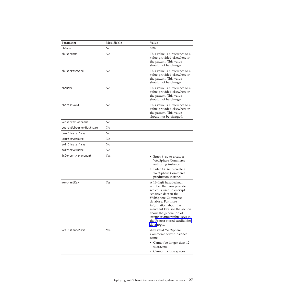| Parameter               | Modifiable | Value                                                                                                                                                                                                                                                                                                                    |
|-------------------------|------------|--------------------------------------------------------------------------------------------------------------------------------------------------------------------------------------------------------------------------------------------------------------------------------------------------------------------------|
| dbName                  | No         | <b>COMM</b>                                                                                                                                                                                                                                                                                                              |
| dbUserName              | No         | This value is a reference to a<br>value provided elsewhere in<br>the pattern. This value<br>should not be changed.                                                                                                                                                                                                       |
| dbUserPassword          | No         | This value is a reference to a<br>value provided elsewhere in<br>the pattern. This value<br>should not be changed.                                                                                                                                                                                                       |
| dbaName                 | No         | This value is a reference to a<br>value provided elsewhere in<br>the pattern. This value<br>should not be changed.                                                                                                                                                                                                       |
| dbaPassword             | No         | This value is a reference to a<br>value provided elsewhere in<br>the pattern. This value<br>should not be changed.                                                                                                                                                                                                       |
| webserverHostname       | No         |                                                                                                                                                                                                                                                                                                                          |
| searchWebserverHostname | No         |                                                                                                                                                                                                                                                                                                                          |
| commClusterName         | No         |                                                                                                                                                                                                                                                                                                                          |
| commServerName          | No         |                                                                                                                                                                                                                                                                                                                          |
| solrClusterName         | No         |                                                                                                                                                                                                                                                                                                                          |
| solrServerName          | No         |                                                                                                                                                                                                                                                                                                                          |
| isContentManagement     | Yes.       | • Enter true to create a<br>WebSphere Commerce<br>authoring instance.<br>Enter false to create a<br>WebSphere Commerce<br>production instance                                                                                                                                                                            |
| merchantKey             | Yes        | A 16-digit hexadecimal<br>number that you provide,<br>which is used to encrypt<br>sensitive data in the<br>WebSphere Commerce<br>database. For more<br>information about the<br>merchant key, see the section<br>about the generation of<br>strong cryptographic keys in<br>the Protect stored cardholder<br>data topic. |
| wcsInstanceName         | Yes        | Any valid WebSphere<br>Commerce server instance<br>name:<br>• Cannot be longer than 12<br>characters,<br>• Cannot include spaces                                                                                                                                                                                         |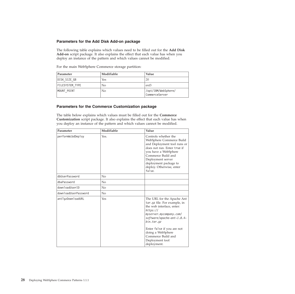### <span id="page-31-0"></span>**Parameters for the Add Disk Add-on package**

The following table explains which values need to be filled out for the **Add Disk Add-on** script package. It also explains the effect that each value has when you deploy an instance of the pattern and which values cannot be modified.

| Parameter       | Modifiable | Value                                 |
|-----------------|------------|---------------------------------------|
| DISK SIZE GB    | Yes        | 20                                    |
| FILESYSTEM TYPE | No         | $ext{3}$                              |
| MOUNT POINT     | No         | /opt/IBM/WebSphere/<br>CommerceServer |

For the main WebSphere Commerce storage partition:

### <span id="page-31-1"></span>**Parameters for the Commerce Customization package**

The table below explains which values must be filled out for the **Commerce Customization** script package. It also explains the effect that each value has when you deploy an instance of the pattern and which values cannot be modified.

| Parameter            | Modifiable | Value                                                                                                                                                                                                                                                                                                 |
|----------------------|------------|-------------------------------------------------------------------------------------------------------------------------------------------------------------------------------------------------------------------------------------------------------------------------------------------------------|
| performWcbdDeploy    | Yes.       | Controls whether the<br>WebSphere Commerce Build<br>and Deployment tool runs or<br>does not run. Enter true if<br>you have a WebSphere<br>Commerce Build and<br>Deployment server<br>deployment package to<br>deploy. Otherwise, enter<br>false.                                                      |
| dbUserPassword       | $\rm No$   |                                                                                                                                                                                                                                                                                                       |
| dbaPassword          | No         |                                                                                                                                                                                                                                                                                                       |
| downloadUserID       | No         |                                                                                                                                                                                                                                                                                                       |
| downloadUserPassword | No         |                                                                                                                                                                                                                                                                                                       |
| antTgzDownloadURL    | Yes        | The URL for the Apache Ant<br>tar.gz file. For example, in<br>the web interface, enter:<br>https://<br>myserver.mycompany.com/<br>software/apache-ant-1.8.4-<br>bin. <i>tar. <i>gz</i></i><br>Enter false if you are not<br>doing a WebSphere<br>Commerce Build and<br>Deployment tool<br>deployment. |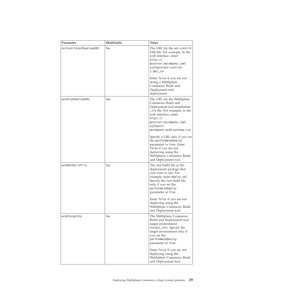| Parameter                | Modifiable | Value                                                                                                                                                                                                                        |
|--------------------------|------------|------------------------------------------------------------------------------------------------------------------------------------------------------------------------------------------------------------------------------|
| antContribJarDownloadURL | Yes        | The URL for the ant-contrib<br>JAR file. For example, in the<br>web interface, enter:<br>https://<br>myserver.mycompany.com/<br>software/ant-contrib-<br>1.0b3.jar<br>Enter false if you are not<br>doing a WebSphere        |
|                          |            | Commerce Build and<br>Deployment tool<br>deployment.                                                                                                                                                                         |
| wcbdZipDownloadURL       | Yes        | The URL for the WebSphere<br>Commerce Build and<br>Deployment tool installation<br>.zip file. For example, in the<br>web interface, enter:<br>https://<br>myserver.mycompany.com/<br>software/<br>mycompany.wcbd.package.zip |
|                          |            | Specify a URL only if you set<br>the performWcbdDeploy<br>parameter to true. Enter<br>false if you are not<br>deploying using the<br>WebSphere Commerce Build<br>and Deployment tool.                                        |
| wcbdAntBuildfile         | Yes        | The Ant build file in the<br>deployment package that<br>you want to run. For<br>example: wcbd-deploy.xml.<br>Specify the Ant build file<br>only if you set the<br>performWcbdDeploy<br>parameter to true.                    |
|                          |            | Enter false if you are not<br>deploying using the<br>WebSphere Commerce Build<br>and Deployment tool.                                                                                                                        |
| wcbdTargetEnv            | Yes        | The WebSphere Commerce<br>Build and Deployment tool<br>target environment.<br>(target_env). Specify the<br>target environment only if<br>you set the<br>performWcbdDeploy<br>parameter to true.                              |
|                          |            | Enter false if you are not<br>deploying using the<br>WebSphere Commerce Build<br>and Deployment tool.                                                                                                                        |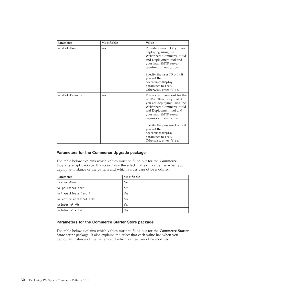| Parameter        | Modifiable | Value                                                                                                                                                                                                |
|------------------|------------|------------------------------------------------------------------------------------------------------------------------------------------------------------------------------------------------------|
| wcbdSmtpUser     | Yes        | Provide a user ID if you are<br>deploying using the<br>WebSphere Commerce Build<br>and Deployment tool and<br>your mail SMTP server<br>requires authentication.<br>Specify the user ID only if       |
|                  |            | you set the<br>performWcbdDeploy<br>parameter to true.<br>Otherwise, enter false.                                                                                                                    |
| wcbdSmtpPassword | Yes        | The correct password for the<br>wcbdSmtpUser. Required if<br>you are deploying using the<br>WebSphere Commerce Build<br>and Deployment tool and<br>your mail SMTP server<br>requires authentication. |
|                  |            | Specify the password only if<br>you set the<br>performWcbdDeploy<br>parameter to true.<br>Otherwise, enter false.                                                                                    |

### <span id="page-33-0"></span>**Parameters for the Commerce Upgrade package**

The table below explains which values must be filled out for the **Commerce Upgrade** script package. It also explains the effect that each value has when you deploy an instance of the pattern and which values cannot be modified.

| Parameter                 | Modifiable     |
|---------------------------|----------------|
| instanceName              | N <sub>o</sub> |
| wcUpdiInstallerUrl        | Yes            |
| wcFixpackInstallerUrl     | Yes            |
| wcFeaturePackInstallerUrl | Yes            |
| wcInterimFixUrl           | Yes            |
| wcInterimFixList          | Yes            |

### <span id="page-33-1"></span>**Parameters for the Commerce Starter Store package**

The table below explains which values must be filled out for the **Commerce Starter Store** script package. It also explains the effect that each value has when you deploy an instance of the pattern and which values cannot be modified.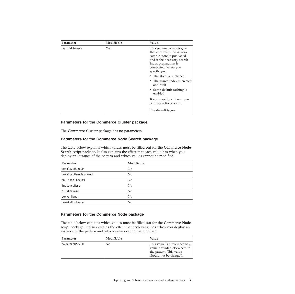| Parameter     | Modifiable | Value                                                                                                                                                                                                            |
|---------------|------------|------------------------------------------------------------------------------------------------------------------------------------------------------------------------------------------------------------------|
| publishAurora | Yes        | This parameter is a toggle<br>that controls if the Aurora<br>sample store is published<br>and if the necessary search<br>index preparation is<br>completed. When you<br>specify yes:<br>• The store is published |
|               |            | The search index is created<br>and built                                                                                                                                                                         |
|               |            | • Some default caching is<br>enabled                                                                                                                                                                             |
|               |            | If you specify no then none<br>of those actions occur.                                                                                                                                                           |
|               |            | The default is yes.                                                                                                                                                                                              |

### <span id="page-34-0"></span>**Parameters for the Commerce Cluster package**

The **Commerce Cluster** package has no parameters.

#### <span id="page-34-1"></span>**Parameters for the Commerce Node Search package**

The table below explains which values must be filled out for the **Commerce Node Search** script package. It also explains the effect that each value has when you deploy an instance of the pattern and which values cannot be modified.

| Parameter            | Modifiable |
|----------------------|------------|
| downloadUserID       | No         |
| downloadUserPassword | No         |
| db2InstallerUrl      | $\rm No$   |
| instanceName         | No         |
| clusterName          | No         |
| serverName           | $\rm No$   |
| remoteHostname       | No         |

### <span id="page-34-2"></span>**Parameters for the Commerce Node package**

The table below explains which values must be filled out for the **Commerce Node** script package. It also explains the effect that each value has when you deploy an instance of the pattern and which values cannot be modified.

| Parameter      | Modifiable | Value                                                                                                              |
|----------------|------------|--------------------------------------------------------------------------------------------------------------------|
| downloadUserID | No         | This value is a reference to a<br>value provided elsewhere in<br>the pattern. This value<br>should not be changed. |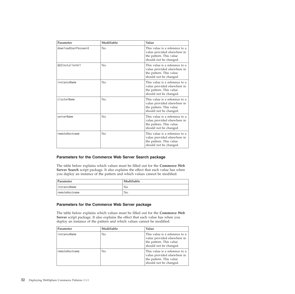| Parameter            | Modifiable     | Value                                                                                                              |
|----------------------|----------------|--------------------------------------------------------------------------------------------------------------------|
| downloadUserPassword | $\rm No$       | This value is a reference to a<br>value provided elsewhere in<br>the pattern. This value<br>should not be changed. |
| db2InstallerUrl      | $\rm No$       | This value is a reference to a<br>value provided elsewhere in<br>the pattern. This value<br>should not be changed. |
| instanceName         | $\rm No$       | This value is a reference to a<br>value provided elsewhere in<br>the pattern. This value<br>should not be changed. |
| clusterName          | $N_{\Omega}$   | This value is a reference to a<br>value provided elsewhere in<br>the pattern. This value<br>should not be changed. |
| serverName           | $\overline{N}$ | This value is a reference to a<br>value provided elsewhere in<br>the pattern. This value<br>should not be changed. |
| remoteHostname       | $\overline{N}$ | This value is a reference to a<br>value provided elsewhere in<br>the pattern. This value<br>should not be changed. |

### <span id="page-35-0"></span>**Parameters for the Commerce Web Server Search package**

The table below explains which values must be filled out for the **Commerce Web Server Search** script package. It also explains the effect that each value has when you deploy an instance of the pattern and which values cannot be modified.

| Parameter       | Modifiable |
|-----------------|------------|
| linstanceName   | No         |
| lremoteHostname | No         |

### <span id="page-35-1"></span>**Parameters for the Commerce Web Server package**

The table below explains which values must be filled out for the **Commerce Web Server** script package. It also explains the effect that each value has when you deploy an instance of the pattern and which values cannot be modified.

| Parameter      | Modifiable     | Value                                                                                                              |
|----------------|----------------|--------------------------------------------------------------------------------------------------------------------|
| instanceName   | N <sub>0</sub> | This value is a reference to a<br>value provided elsewhere in<br>the pattern. This value<br>should not be changed. |
| remoteHostname | N <sub>0</sub> | This value is a reference to a<br>value provided elsewhere in<br>the pattern. This value<br>should not be changed. |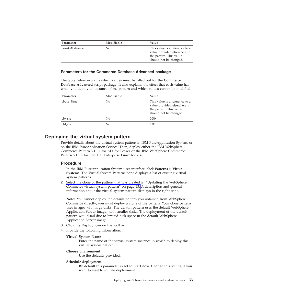<span id="page-36-0"></span>

| <b>Parameter</b> | Modifiable | . Value                                                                                                            |
|------------------|------------|--------------------------------------------------------------------------------------------------------------------|
| remoteNodename   | No         | This value is a reference to a<br>value provided elsewhere in<br>the pattern. This value<br>should not be changed. |

### <span id="page-36-1"></span>**Parameters for the Commerce Database Advanced package**

The table below explains which values must be filled out for the **Commerce Database Advanced** script package. It also explains the effect that each value has when you deploy an instance of the pattern and which values cannot be modified.

| Parameter  | Modifiable     | Value                                                                                                              |
|------------|----------------|--------------------------------------------------------------------------------------------------------------------|
| dbUserName | N <sub>0</sub> | This value is a reference to a<br>value provided elsewhere in<br>the pattern. This value<br>should not be changed. |
| dbName     | N <sub>0</sub> | COMM                                                                                                               |
| dbType     | N <sub>0</sub> | DB <sub>2</sub>                                                                                                    |

### **Deploying the virtual system pattern**

Provide details about the virtual system pattern in IBM PureApplication System, or on the IBM PureApplication Service. Then, deploy either the IBM WebSphere Commerce Pattern V1.1.1 for AIX for Power or the IBM WebSphere Commerce Pattern V1.1.1 for Red Hat Enterprise Linux for x86.

### **Procedure**

- 1. In the IBM PureApplication System user interface, click **Patterns** > **Virtual Systems**. The Virtual System Patterns pane displays a list of existing virtual system patterns.
- 2. Select the clone of the pattern that was created in ["Updating the WebSphere](#page-26-0) [Commerce virtual system pattern" on page 23.](#page-26-0) A description and general information about the virtual system pattern displays in the right pane.

**Note:** You cannot deploy the default pattern you obtained from WebSphere Commerce directly; you must deploy a clone of the pattern. Your clone pattern uses images with large disks. The default pattern uses the default WebSphere Application Server image, with smaller disks. The deployment of the default pattern would fail due to limited disk space in the default WebSphere Application Server image.

- 3. Click the **Deploy** icon on the toolbar.
- 4. Provide the following information.

#### **Virtual System Name**

Enter the name of the virtual system instance in which to deploy this virtual system pattern.

#### **Choose Environment**

Use the defaults provided.

#### **Schedule deployment**

By default this parameter is set to **Start now**. Change this setting if you want to wait to initiate deployment.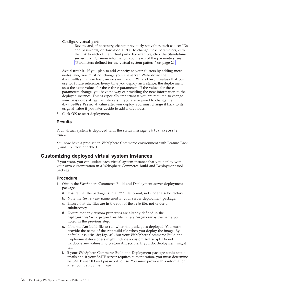#### <span id="page-37-0"></span>**Configure virtual parts**

Review and, if necessary, change previously set values such as user IDs and passwords, or download URLs. To change these parameters, click the link to each of the virtual parts. For example, click the **Standalone server** link. For more information about each of the parameters, see ["Parameters defined for the virtual system pattern" on page 24.](#page-27-0)

**Avoid trouble:** If you plan to add capacity to your clusters by adding more nodes later, you must not change your file server. Write down the downloadUserID, downloadUserPassword, and db2InstallerUrl values that you use for future reference. Every time you deploy an instance, the deployment uses the same values for these three parameters. If the values for these parameters change, you have no way of providing the new information to the deployed instance. This is especially important if you are required to change your passwords at regular intervals. If you are required to change the downloadUserPassword value after you deploy, you must change it back to its original value if you later decide to add more nodes.

5. Click **OK** to start deployment.

#### **Results**

Your virtual system is deployed with the status message, Virtual system is ready.

You now have a production WebSphere Commerce environment with Feature Pack 8, and Fix Pack 9 enabled.

### **Customizing deployed virtual system instances**

If you want, you can update each virtual system instance that you deploy with your own customization in a WebSphere Commerce Build and Deployment tool package.

### **Procedure**

- 1. Obtain the WebSphere Commerce Build and Deployment server deployment package.
	- a. Ensure that the package is in a .zip file format, not under a subdirectory.
	- b. Note the *target-env* name used in your server deployment package.
	- c. Ensure that the files are in the root of the .zip file, not under a subdirectory.
	- d. Ensure that any custom properties are already defined in the deploy-*target-env*.properties file, where *target-env* is the name you noted in the previous step.
	- e. Note the Ant build file to run when the package is deployed. You must provide the name of the Ant build file when you deploy the image. By default, it is wcbd-deploy.xml, but your WebSphere Commerce Build and Deployment developers might include a custom Ant script. Do not hardcode any values into custom Ant scripts. If you do, deployment might fail.
	- f. If your WebSphere Commerce Build and Deployment package sends status emails and if your SMTP server requires authentication, you must determine the SMTP user ID and password to use. You must provide this information when you deploy the image.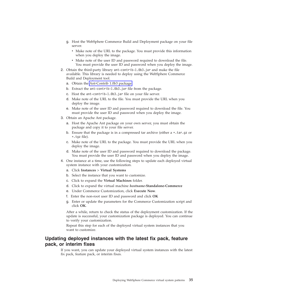- <span id="page-38-0"></span>g. Host the WebSphere Commerce Build and Deployment package on your file server.
	- Make note of the URL to the package. You must provide this information when you deploy the image.
	- Make note of the user ID and password required to download the file. You must provide the user ID and password when you deploy the image.
- 2. Obtain the third-party library ant-contrib-1.0b3.jar and make the file available. This library is needed to deploy using the WebSphere Commerce Build and Deployment tool.
	- a. Obtain the [Ant-Contrib 1.0b3 package.](ant_ant-contrib)
	- b. Extract the ant-contrib-1.0b3.jar file from the package.
	- c. Host the ant-contrib-1.0b3.jar file on your file server.
	- d. Make note of the URL to the file. You must provide the URL when you deploy the image.
	- e. Make note of the user ID and password required to download the file. You must provide the user ID and password when you deploy the image.
- 3. Obtain an Apache Ant package.
	- a. Host the Apache Ant package on your own server, you must obtain the package and copy it to your file server.
	- b. Ensure that the package is in a compressed tar archive (either  $a * .tan.gz$  or \*.tgz file).
	- c. Make note of the URL to the package. You must provide the URL when you deploy the image.
	- d. Make note of the user ID and password required to download the package. You must provide the user ID and password when you deploy the image.
- 4. One instance at a time, use the following steps to update each deployed virtual system instance with your customization.
	- a. Click **Instances** > **Virtual Systems**
	- b. Select the instance that you want to customize.
	- c. Click to expand the **Virtual Machines** folder.
	- d. Click to expand the virtual machine *hostname***-Standalone-Commerce**
	- e. Under Commerce Customization, click **Execute Now**.
	- f. Enter the non-root user ID and password and click **OK**
	- g. Enter or update the parameters for the Commerce Customization script and click **OK**.

After a while, return to check the status of the deployment customization. If the update is successful, your customization package is deployed. You can continue to verify your customization.

Repeat this step for each of the deployed virtual system instances that you want to customize.

### **Updating deployed instances with the latest fix pack, feature pack, or interim fixes**

If you want, you can update your deployed virtual system instances with the latest fix pack, feature pack, or interim fixes.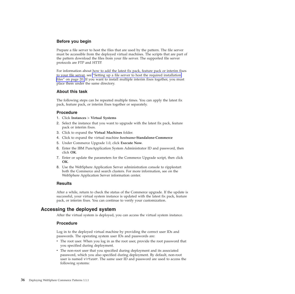### <span id="page-39-0"></span>**Before you begin**

Prepare a file server to host the files that are used by the pattern. The file server must be accessible from the deployed virtual machines. The scripts that are part of the pattern download the files from your file server. The supported file server protocols are FTP and HTTP.

For information about how to add the latest fix pack, feature pack or interim fixes to your file server, see ["Setting up a file server to host the required installation](#page-23-0) [files" on page 20.](#page-23-0) If you want to install multiple interim fixes together, you must place them under the same directory.

### **About this task**

The following steps can be repeated multiple times. You can apply the latest fix pack, feature pack, or interim fixes together or separately.

#### **Procedure**

- 1. Click **Instances** > **Virtual Systems**
- 2. Select the instance that you want to upgrade with the latest fix pack, feature pack or interim fixes.
- 3. Click to expand the **Virtual Machines** folder.
- 4. Click to expand the virtual machine *hostname***-Standalone-Commerce**
- 5. Under Commerce Upgrade 1.0, click **Execute Now**.
- 6. Enter the IBM PureApplication System Administrator ID and password, then click **OK**.
- 7. Enter or update the parameters for the Commerce Upgrade script, then click **OK**.
- 8. Use the WebSphere Application Server administration console to ripplestart both the Commerce and search clusters. For more information, see on the WebSphere Application Server information center.

### **Results**

After a while, return to check the status of the Commerce upgrade. If the update is successful, your virtual system instance is updated with the latest fix pack, feature pack, or interim fixes. You can continue to verify your customization.

### **Accessing the deployed system**

After the virtual system is deployed, you can access the virtual system instance.

#### **Procedure**

Log in to the deployed virtual machine by providing the correct user IDs and passwords. The operating system user IDs and passwords are:

- The root user. When you log in as the root user, provide the root password that you specified during deployment.
- The non-root user that you specified during deployment and its associated password, which you also specified during deployment. By default, non-root user is named virtuser. The same user ID and password are used to access the following systems: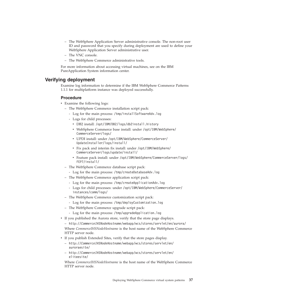- <span id="page-40-0"></span>– The WebSphere Application Server administrative console. The non-root user ID and password that you specify during deployment are used to define your WebSphere Application Server administrative user.
- The VNC console.
- The WebSphere Commerce administrative tools.

For more information about accessing virtual machines, see on the IBM PureApplication System information center.

### **Verifying deployment**

Examine log information to determine if the IBM WebSphere Commerce Patterns 1.1.1 for multiplatform instance was deployed successfully.

#### **Procedure**

- Examine the following logs:
	- The WebSphere Commerce installation script pack:
		- Log for the main process: /tmp/installSoftwareAdv.log
		- Logs for child processes:
			- DB2 install: /opt/IBM/DB2/logs/db2install.history
			- WebSphere Commerce base install: under /opt/IBM/WebSphere/ CommerceServer/logs/
			- v UPDI install: under /opt/IBM/WebSphere/CommerceServer/ UpdateInstaller/logs/install/
			- v Fix pack and interim fix install: under /opt/IBM/WebSphere/ CommerceServer/logs/update/install/
			- v Feature pack install: under /opt/IBM/WebSphere/CommerceServer/logs/ FEP7/install/
	- The WebSphere Commerce database script pack:
		- Log for the main process: /tmp/createDatabaseAdv.log
	- The WebSphere Commerce application script pack:
		- Log for the main process: /tmp/createApplicationAdv.log
		- Logs for child processes: under /opt/IBM/WebSphere/CommerceServer/ instances/comm/logs/
	- The WebSphere Commerce customization script pack:
		- Log for the main process: /tmp/deployCustomization.log
	- The WebSphere Commerce upgrade script pack:
	- Log for the main process: /tmp/upgradeApplication.log
- If you published the Aurora store, verify that the store page displays.

– http://*CommerceIHSNodeHostname*/webapp/wcs/stores/servlet/en/aurora/ Where *CommerceIHSNodeHostname* is the host name of the WebSphere Commerce

- HTTP server node.
- If you publish Extended Sites, verify that the store pages display.
	- http://*CommerceIHSNodeHostname*/webapp/wcs/stores/servlet/en/ auroraesite/
	- http://*CommerceIHSNodeHostname*/webapp/wcs/stores/servlet/en/ eliteesite/

Where *CommerceIHSNodeHostname* is the host name of the WebSphere Commerce HTTP server node.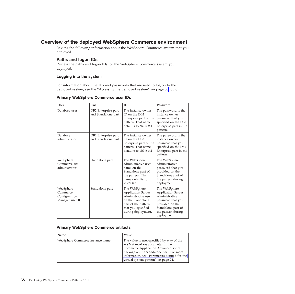### <span id="page-41-0"></span>**Overview of the deployed WebSphere Commerce environment**

Review the following information about the WebSphere Commerce system that you deployed.

### **Paths and logon IDs**

Review the paths and logon IDs for the WebSphere Commerce system you deployed.

### **Logging into the system**

For information about the IDs and passwords that are used to log on to the deployed system, see the ["Accessing the deployed system" on page 36](#page-39-0) topic.

### **Primary WebSphere Commerce user IDs**

| <b>User</b>                                               | Part                                       | ID                                                                                                                                                        | Password                                                                                                                                                        |
|-----------------------------------------------------------|--------------------------------------------|-----------------------------------------------------------------------------------------------------------------------------------------------------------|-----------------------------------------------------------------------------------------------------------------------------------------------------------------|
| Database user                                             | DB2 Enterprise part<br>and Standalone part | The instance owner<br>ID on the DB2<br>Enterprise part of the<br>pattern. That name<br>defaults to db2inst1                                               | The password is the<br>instance owner<br>password that you<br>specified on the DB2<br>Enterprise part in the<br>pattern.                                        |
| Database<br>administrator                                 | DB2 Enterprise part<br>and Standalone part | The instance owner<br>ID on the DB2<br>Enterprise part of the<br>pattern. That name<br>defaults to db2inst1                                               | The password is the<br>instance owner<br>password that you<br>specified on the DB2<br>Enterprise part in the<br>pattern.                                        |
| WebSphere<br>Commerce site<br>administrator               | Standalone part                            | The WebSphere<br>administrative user<br>name on the<br>Standalone part of<br>the pattern. That<br>name defaults to<br>virtuser.                           | The WebSphere<br>administrative<br>password that you<br>provided on the<br>Standalone part of<br>the pattern during<br>deployment.                              |
| WebSphere<br>Commerce<br>Configuration<br>Manager user ID | Standalone part                            | The WebSphere<br><b>Application Server</b><br>administrative user<br>on the Standalone<br>part of the pattern<br>that you specified<br>during deployment. | The WebSphere<br><b>Application Server</b><br>administrative<br>password that you<br>provided on the<br>Standalone part of<br>the pattern during<br>deployment. |

### **Primary WebSphere Commerce artifacts**

| Name                             | Value                                                                                                                                                                                                                                                    |
|----------------------------------|----------------------------------------------------------------------------------------------------------------------------------------------------------------------------------------------------------------------------------------------------------|
| WebSphere Commerce instance name | The value is user-specified by way of the<br>wcsInstanceName parameter in the<br>Commerce Application Advanced script<br>package on the Standalone part. For more<br>information, see "Parameters defined for the<br>virtual system pattern" on page 24. |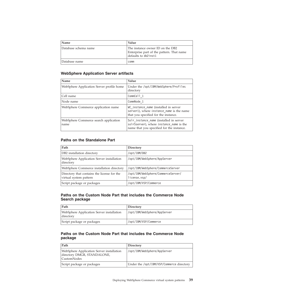| Name                 | Value                                                                                                 |
|----------------------|-------------------------------------------------------------------------------------------------------|
| Database schema name | The instance owner ID on the DB2<br>Enterprise part of the pattern. That name<br>defaults to db2inst1 |
| Database name        | comm                                                                                                  |

### **WebSphere Application Server artifacts**

| Name                                          | Value                                                                                                                                   |
|-----------------------------------------------|-----------------------------------------------------------------------------------------------------------------------------------------|
| WebSphere Application Server profile home     | Under the /opt/IBM/WebSphere/Profiles<br>directory                                                                                      |
| Cell name                                     | CommCell 1                                                                                                                              |
| Node name                                     | CommNode 1                                                                                                                              |
| WebSphere Commerce application name           | WC <i>instance name</i> (installed in server<br>server1), where instance name is the name<br>that you specified for the instance.       |
| WebSphere Commerce search application<br>name | Solr <i>instance name</i> (installed in server<br>solrSserver), where instance name is the<br>name that you specified for the instance. |

### **Paths on the Standalone Part**

| Path                                                                  | Directory                                          |
|-----------------------------------------------------------------------|----------------------------------------------------|
| DB2 installation directory                                            | /opt/IBM/DB2                                       |
| WebSphere Application Server installation<br>directory                | /opt/IBM/WebSphere/AppServer                       |
| WebSphere Commerce installation directory                             | /opt/IBM/WebSphere/CommerceServer                  |
| Directory that contains the license for the<br>virtual system pattern | /opt/IBM/WebSphere/CommerceServer/<br>license.vsp/ |
| Script package or packages                                            | /opt/IBM/VSP/Commerce                              |

### **Paths on the Custom Node Part that includes the Commerce Node Search package**

| Path                                                   | Directory                    |
|--------------------------------------------------------|------------------------------|
| WebSphere Application Server installation<br>directory | /opt/IBM/WebSphere/AppServer |
| Script package or packages                             | /opt/IBM/VSP/Commerce        |

### **Paths on the Custom Node Part that includes the Commerce Node package**

| Path                                                                                    | Directory                                 |
|-----------------------------------------------------------------------------------------|-------------------------------------------|
| WebSphere Application Server installation<br>directory DMGR, STANDALONE,<br>CustomNodes | /opt/IBM/WebSphere/AppServer              |
| Script package or packages                                                              | Under the /opt/IBM/VSP/Commerce directory |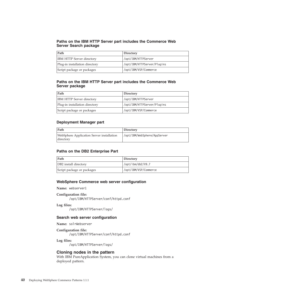### **Paths on the IBM HTTP Server part includes the Commerce Web Server Search package**

| ⊩Path                            | Directory                   |
|----------------------------------|-----------------------------|
| <b>IBM HTTP Server directory</b> | /opt/IBM/HTTPServer         |
| Plug-in installation directory   | /opt/IBM/HTTPServer/Plugins |
| Script package or packages       | /opt/IBM/VSP/Commerce       |

### **Paths on the IBM HTTP Server part includes the Commerce Web Server package**

| Path                             | Directory                   |
|----------------------------------|-----------------------------|
| <b>IBM HTTP Server directory</b> | /opt/IBM/HTTPServer         |
| Plug-in installation directory   | /opt/IBM/HTTPServer/Plugins |
| Script package or packages       | /opt/IBM/VSP/Commerce       |

#### **Deployment Manager part**

| Path                                                   | Directory                    |
|--------------------------------------------------------|------------------------------|
| WebSphere Application Server installation<br>directory | /opt/IBM/WebSphere/AppServer |

#### **Paths on the DB2 Enterprise Part**

| Path                       | Directory             |
|----------------------------|-----------------------|
| DB2 install directory      | /opt/ibm/db2/V9.7     |
| Script package or packages | /opt/IBM/VSP/Commerce |

#### **WebSphere Commerce web server configuration**

**Name:** webserver1

#### **Configuration file:**

/opt/IBM/HTTPServer/conf/httpd.conf

#### **Log files:**

/opt/IBM/HTTPServer/logs/

#### **Search web server configuration**

**Name:** solrWebserver

#### **Configuration file:**

/opt/IBM/HTTPServer/conf/httpd.conf

#### **Log files:**

/opt/IBM/HTTPServer/logs/

### **Cloning nodes in the pattern**

With IBM PureApplication System, you can clone virtual machines from a deployed pattern.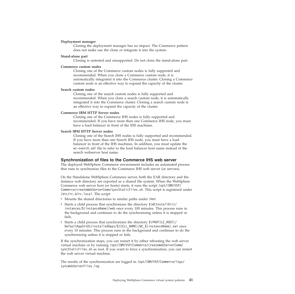#### <span id="page-44-0"></span>**Deployment manager**

Cloning the deployment manager has no impact. The Commerce pattern does not make use the clone or integrate it into the system.

#### **Stand-alone part**

Cloning is untested and unsupported. Do not clone the stand-alone part.

#### **Commerce custom nodes**

Cloning one of the Commerce custom nodes is fully supported and recommended. When you clone a Commerce custom node, it is automatically integrated it into the Commerce cluster. Cloning a Commerce custom node is an effective way to expand the capacity of the cluster.

#### **Search custom nodes**

Cloning one of the search custom nodes is fully supported and recommended. When you clone a search custom node, it is automatically integrated it into the Commerce cluster. Cloning a search custom node is an effective way to expand the capacity of the cluster.

#### **Commerce IBM HTTP Server nodes**

Cloning one of the Commerce IHS nodes is fully supported and recommended. If you have more than one Commerce IHS node, you must have a load balancer in front of the IHS machines.

#### **Search IBM HTTP Server nodes**

Cloning one of the Search IHS nodes is fully supported and recommended. If you have more than one Search IHS node, you must have a load balancer in front of the IHS machines. In addition, you must update the wc-search.xml file to refer to the load balancer host name instead of the search webserver host name.

#### **Synchronization of files to the Commerce IHS web server**

The deployed WebSphere Commerce environment includes an automated process that runs to synchronize files to the Commerce IHS web server (or servers).

On the Standalone WebSphere Commerce server, both the EAR directory and the instance web directory are exported as a shared file system. When the WebSphere Commerce web server host (or hosts) starts, it runs the script /opt/IBM/VSP/ Commerce/createWebServerComm/syncStaticFiles.sh. This script is registered under /etc/rc.d/rc.local. The script:

- v Mounts the shared directories to similar paths under /mnt
- Starts a child process that synchronizes the directory  $\frac{1}{\sqrt{\frac{1}{N}}}\left|\frac{1}{N}\right|$ instances/\${instanceName}/web once every 100 minutes. This process runs in the background and continues to do the synchronizing unless it is stopped or fails.
- Starts a child process that synchronizes the directory  $\{\text{PROFILE ROOT}\}$ / DefaultAppSrv01/installedApps/\${CELL\_NAME}/WC\_\${instanceName}.ear once every 10 minutes. This process runs in the background and continues to do the synchronizing unless it is stopped or fails.

If the synchronization stops, you can restart it by either rebooting the web server virtual machine or by running /opt/IBM/VSP/Commerce/createWebServerComm/ syncStaticFiles.sh as root. If you want to force a synchronization, you can restart the web server virtual machine.

The results of the synchronization are logged in /opt/IBM/VSP/Commerce/logs/ syncWebServerFiles.log.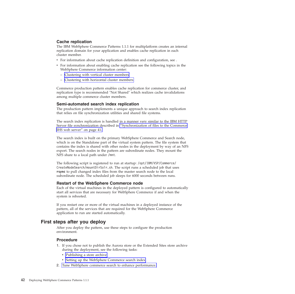### <span id="page-45-0"></span>**Cache replication**

The IBM WebSphere Commerce Patterns 1.1.1 for multiplatform creates an internal replication domain for your application and enables cache replication in each cluster member.

- v For information about cache replication definition and configuration, see .
- v For information about enabling cache replication see the following topics in the WebSphere Commerce information center:
	- Clustering with vertical cluster members
	- Clustering with horizontal cluster members

Commerce production pattern enables cache replication for commerce cluster, and replication type is recommended "Not Shared" which realizes cache invalidations among multiple commerce cluster members.

### **Semi-automated search index replication**

The production pattern implements a unique approach to search index replication that relies on file synchronization utilities and shared file systems.

The search index replication is handled in a manner very similar to the IBM HTTP Server file synchronization described in ["Synchronization of files to the Commerce](#page-44-0) [IHS web server" on page 41.](#page-44-0)

The search index is built on the primary WebSphere Commerce and Search node, which is on the Standalone part of the virtual system pattern. The file system that contains the index is shared with other nodes in the deployment by way of an NFS export. The search nodes in the pattern are subordinate nodes. They mount the NFS share to a local path under /mnt.

The following script is registered to run at startup: /opt/IBM/VSP/Commerce/ CreateNodeSearch/mountDirSolr.sh. The script runs a scheduled job that uses **rsync** to pull changed index files from the master search node to the local subordinate node. The scheduled job sleeps for 6000 seconds between runs.

### **Restart of the WebSphere Commerce node**

Each of the virtual machines in the deployed pattern is configured to automatically start all services that are necessary for WebSphere Commerce if and when the system is rebooted.

If you restart one or more of the virtual machines in a deployed instance of the pattern, all of the services that are required for the WebSphere Commerce application to run are started automatically.

### **First steps after you deploy**

After you deploy the pattern, use these steps to configure the production environment.

### **Procedure**

- 1. If you chose not to publish the Aurora store or the Extended Sites store archive during the deployment, see the following tasks:
	- Publishing a store archive
	- Setting up the WebSphere Commerce search index
- 2. Tune WebSphere commerce search to enhance performance.